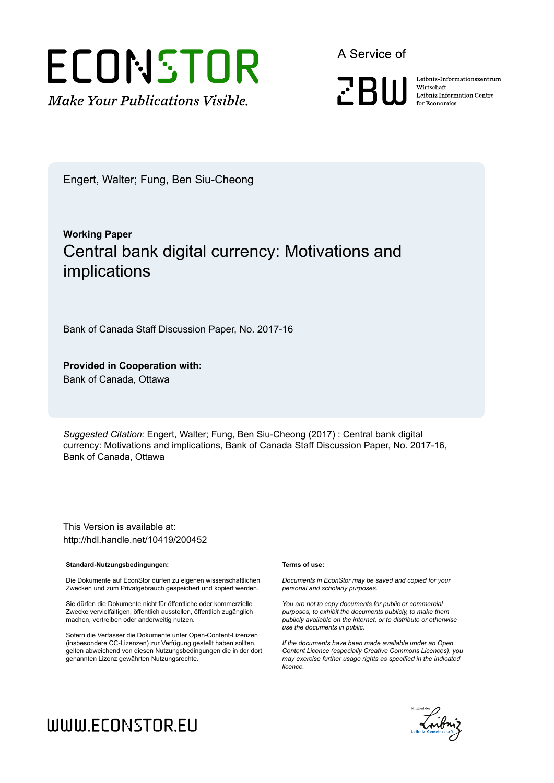

A Service of



Leibniz-Informationszentrum Wirtschaft Leibniz Information Centre for Economics

Engert, Walter; Fung, Ben Siu-Cheong

# **Working Paper** Central bank digital currency: Motivations and implications

Bank of Canada Staff Discussion Paper, No. 2017-16

#### **Provided in Cooperation with:** Bank of Canada, Ottawa

*Suggested Citation:* Engert, Walter; Fung, Ben Siu-Cheong (2017) : Central bank digital currency: Motivations and implications, Bank of Canada Staff Discussion Paper, No. 2017-16, Bank of Canada, Ottawa

This Version is available at: http://hdl.handle.net/10419/200452

#### **Standard-Nutzungsbedingungen:**

Die Dokumente auf EconStor dürfen zu eigenen wissenschaftlichen Zwecken und zum Privatgebrauch gespeichert und kopiert werden.

Sie dürfen die Dokumente nicht für öffentliche oder kommerzielle Zwecke vervielfältigen, öffentlich ausstellen, öffentlich zugänglich machen, vertreiben oder anderweitig nutzen.

Sofern die Verfasser die Dokumente unter Open-Content-Lizenzen (insbesondere CC-Lizenzen) zur Verfügung gestellt haben sollten, gelten abweichend von diesen Nutzungsbedingungen die in der dort genannten Lizenz gewährten Nutzungsrechte.

#### **Terms of use:**

*Documents in EconStor may be saved and copied for your personal and scholarly purposes.*

*You are not to copy documents for public or commercial purposes, to exhibit the documents publicly, to make them publicly available on the internet, or to distribute or otherwise use the documents in public.*

*If the documents have been made available under an Open Content Licence (especially Creative Commons Licences), you may exercise further usage rights as specified in the indicated licence.*



# WWW.ECONSTOR.EU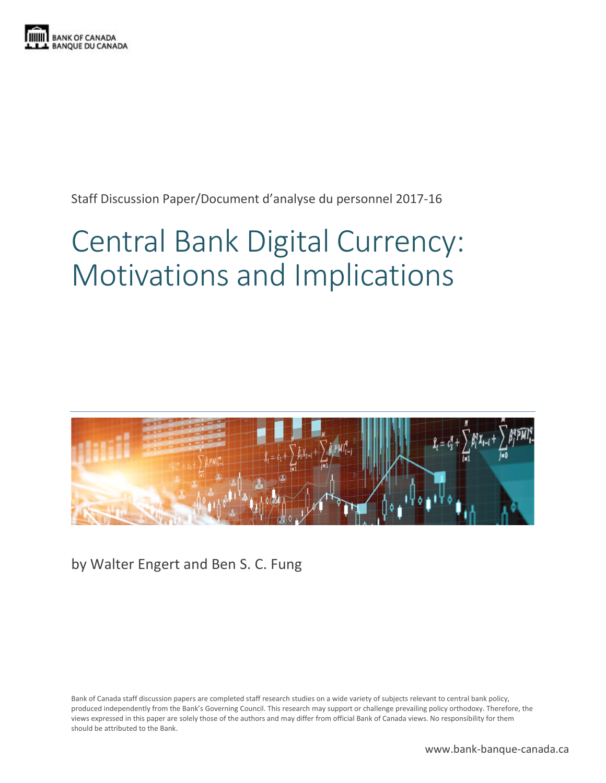

Staff Discussion Paper/Document d'analyse du personnel 2017-16

# Central Bank Digital Currency: Motivations and Implications



by Walter Engert and Ben S. C. Fung

Bank of Canada staff discussion papers are completed staff research studies on a wide variety of subjects relevant to central bank policy, produced independently from the Bank's Governing Council. This research may support or challenge prevailing policy orthodoxy. Therefore, the views expressed in this paper are solely those of the authors and may differ from official Bank of Canada views. No responsibility for them should be attributed to the Bank.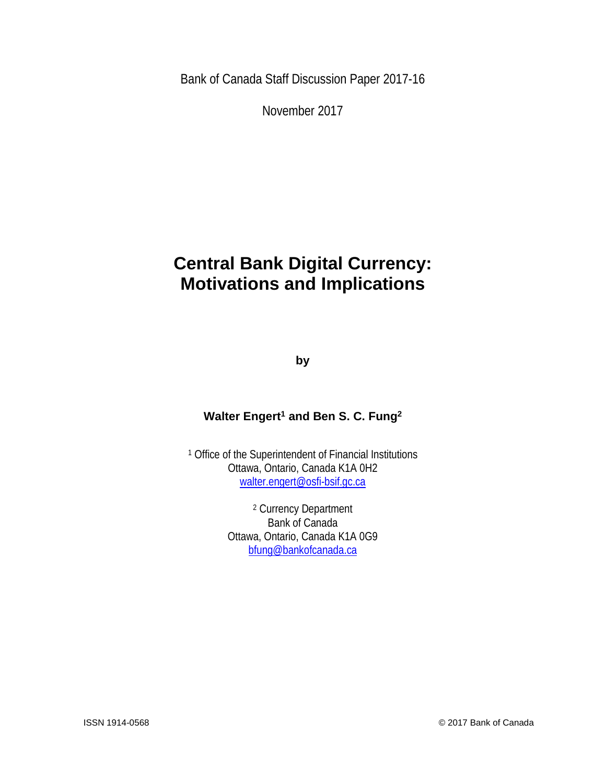Bank of Canada Staff Discussion Paper 2017-16

November 2017

# **Central Bank Digital Currency: Motivations and Implications**

**by**

## **Walter Engert<sup>1</sup> and Ben S. C. Fung<sup>2</sup>**

<sup>1</sup> Office of the Superintendent of Financial Institutions Ottawa, Ontario, Canada K1A 0H2 [walter.engert@osfi-bsif.gc.ca](mailto:walter.engert@osfi-bsif.gc.ca)

> <sup>2</sup> Currency Department Bank of Canada Ottawa, Ontario, Canada K1A 0G9 [bfung@bankofcanada.ca](mailto:bfung@bankofcanada.ca)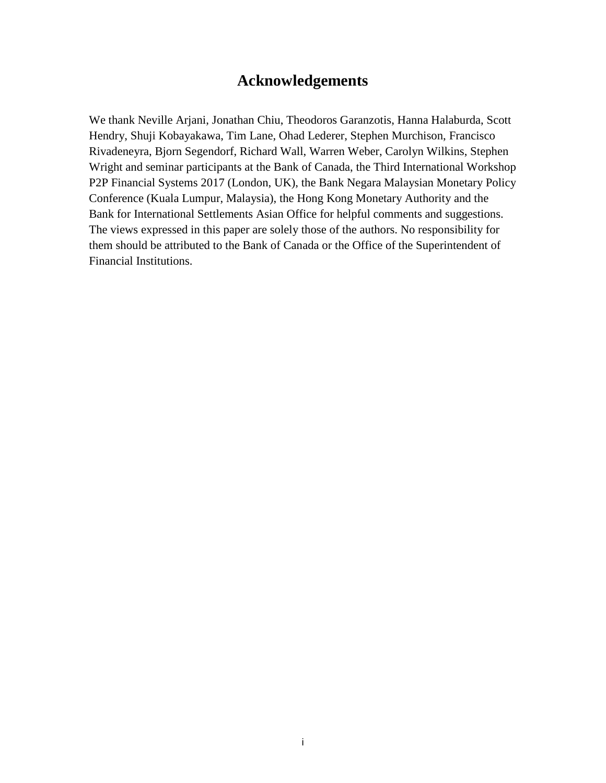# **Acknowledgements**

We thank Neville Arjani, Jonathan Chiu, Theodoros Garanzotis, Hanna Halaburda, Scott Hendry, Shuji Kobayakawa, Tim Lane, Ohad Lederer, Stephen Murchison, Francisco Rivadeneyra, Bjorn Segendorf, Richard Wall, Warren Weber, Carolyn Wilkins, Stephen Wright and seminar participants at the Bank of Canada, the Third International Workshop P2P Financial Systems 2017 (London, UK), the Bank Negara Malaysian Monetary Policy Conference (Kuala Lumpur, Malaysia), the Hong Kong Monetary Authority and the Bank for International Settlements Asian Office for helpful comments and suggestions. The views expressed in this paper are solely those of the authors. No responsibility for them should be attributed to the Bank of Canada or the Office of the Superintendent of Financial Institutions.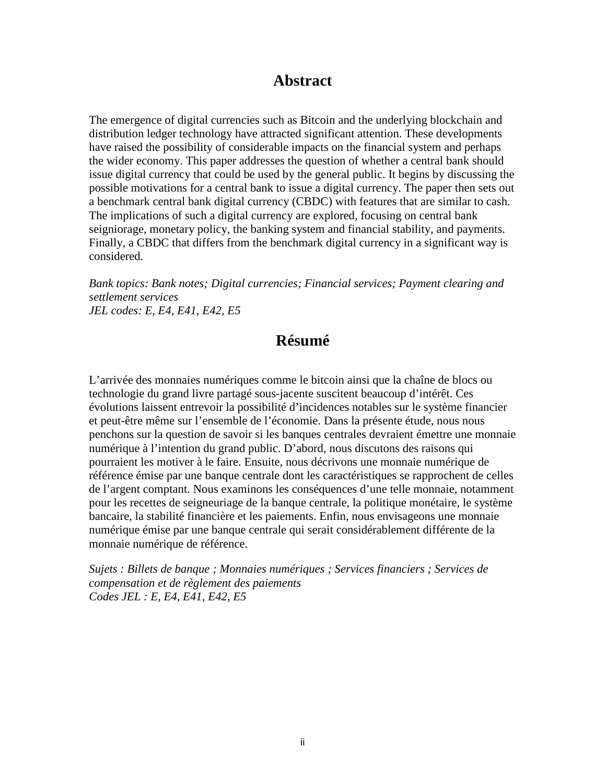# **Abstract**

The emergence of digital currencies such as Bitcoin and the underlying blockchain and distribution ledger technology have attracted significant attention. These developments have raised the possibility of considerable impacts on the financial system and perhaps the wider economy. This paper addresses the question of whether a central bank should issue digital currency that could be used by the general public. It begins by discussing the possible motivations for a central bank to issue a digital currency. The paper then sets out a benchmark central bank digital currency (CBDC) with features that are similar to cash. The implications of such a digital currency are explored, focusing on central bank seigniorage, monetary policy, the banking system and financial stability, and payments. Finally, a CBDC that differs from the benchmark digital currency in a significant way is considered.

*Bank topics: Bank notes; Digital currencies; Financial services; Payment clearing and settlement services JEL codes: E, E4, E41, E42, E5*

# **Résumé**

L'arrivée des monnaies numériques comme le bitcoin ainsi que la chaîne de blocs ou technologie du grand livre partagé sous-jacente suscitent beaucoup d'intérêt. Ces évolutions laissent entrevoir la possibilité d'incidences notables sur le système financier et peut-être même sur l'ensemble de l'économie. Dans la présente étude, nous nous penchons sur la question de savoir si les banques centrales devraient émettre une monnaie numérique à l'intention du grand public. D'abord, nous discutons des raisons qui pourraient les motiver à le faire. Ensuite, nous décrivons une monnaie numérique de référence émise par une banque centrale dont les caractéristiques se rapprochent de celles de l'argent comptant. Nous examinons les conséquences d'une telle monnaie, notamment pour les recettes de seigneuriage de la banque centrale, la politique monétaire, le système bancaire, la stabilité financière et les paiements. Enfin, nous envisageons une monnaie numérique émise par une banque centrale qui serait considérablement différente de la monnaie numérique de référence.

*Sujets : Billets de banque ; Monnaies numériques ; Services financiers ; Services de compensation et de règlement des paiements Codes JEL : E, E4, E41, E42, E5*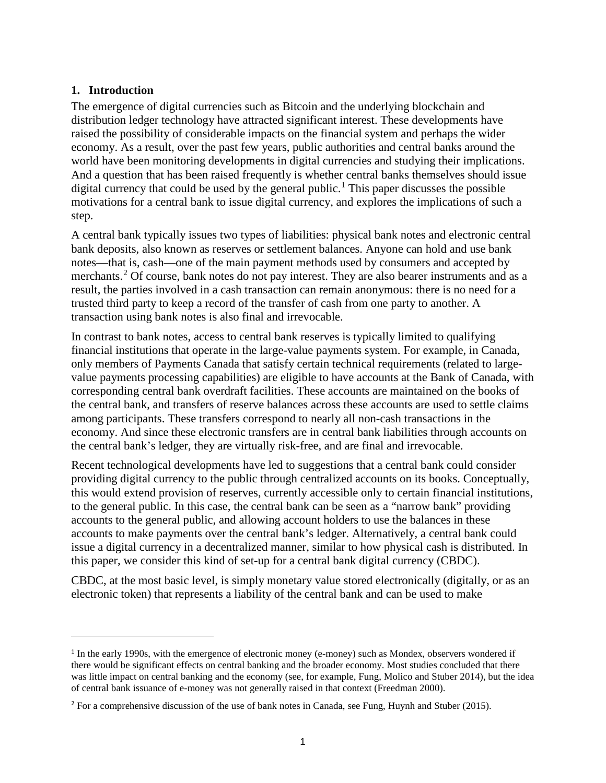#### **1. Introduction**

 $\overline{a}$ 

The emergence of digital currencies such as Bitcoin and the underlying blockchain and distribution ledger technology have attracted significant interest. These developments have raised the possibility of considerable impacts on the financial system and perhaps the wider economy. As a result, over the past few years, public authorities and central banks around the world have been monitoring developments in digital currencies and studying their implications. And a question that has been raised frequently is whether central banks themselves should issue digital currency that could be used by the general public.<sup>[1](#page-5-0)</sup> This paper discusses the possible motivations for a central bank to issue digital currency, and explores the implications of such a step.

A central bank typically issues two types of liabilities: physical bank notes and electronic central bank deposits, also known as reserves or settlement balances. Anyone can hold and use bank notes—that is, cash—one of the main payment methods used by consumers and accepted by merchants.<sup>[2](#page-5-1)</sup> Of course, bank notes do not pay interest. They are also bearer instruments and as a result, the parties involved in a cash transaction can remain anonymous: there is no need for a trusted third party to keep a record of the transfer of cash from one party to another. A transaction using bank notes is also final and irrevocable.

In contrast to bank notes, access to central bank reserves is typically limited to qualifying financial institutions that operate in the large-value payments system. For example, in Canada, only members of Payments Canada that satisfy certain technical requirements (related to largevalue payments processing capabilities) are eligible to have accounts at the Bank of Canada, with corresponding central bank overdraft facilities. These accounts are maintained on the books of the central bank, and transfers of reserve balances across these accounts are used to settle claims among participants. These transfers correspond to nearly all non-cash transactions in the economy. And since these electronic transfers are in central bank liabilities through accounts on the central bank's ledger, they are virtually risk-free, and are final and irrevocable.

Recent technological developments have led to suggestions that a central bank could consider providing digital currency to the public through centralized accounts on its books. Conceptually, this would extend provision of reserves, currently accessible only to certain financial institutions, to the general public. In this case, the central bank can be seen as a "narrow bank" providing accounts to the general public, and allowing account holders to use the balances in these accounts to make payments over the central bank's ledger. Alternatively, a central bank could issue a digital currency in a decentralized manner, similar to how physical cash is distributed. In this paper, we consider this kind of set-up for a central bank digital currency (CBDC).

CBDC, at the most basic level, is simply monetary value stored electronically (digitally, or as an electronic token) that represents a liability of the central bank and can be used to make

<span id="page-5-0"></span><sup>&</sup>lt;sup>1</sup> In the early 1990s, with the emergence of electronic money (e-money) such as Mondex, observers wondered if there would be significant effects on central banking and the broader economy. Most studies concluded that there was little impact on central banking and the economy (see, for example, Fung, Molico and Stuber 2014), but the idea of central bank issuance of e-money was not generally raised in that context (Freedman 2000).

<span id="page-5-1"></span><sup>&</sup>lt;sup>2</sup> For a comprehensive discussion of the use of bank notes in Canada, see Fung, Huynh and Stuber (2015).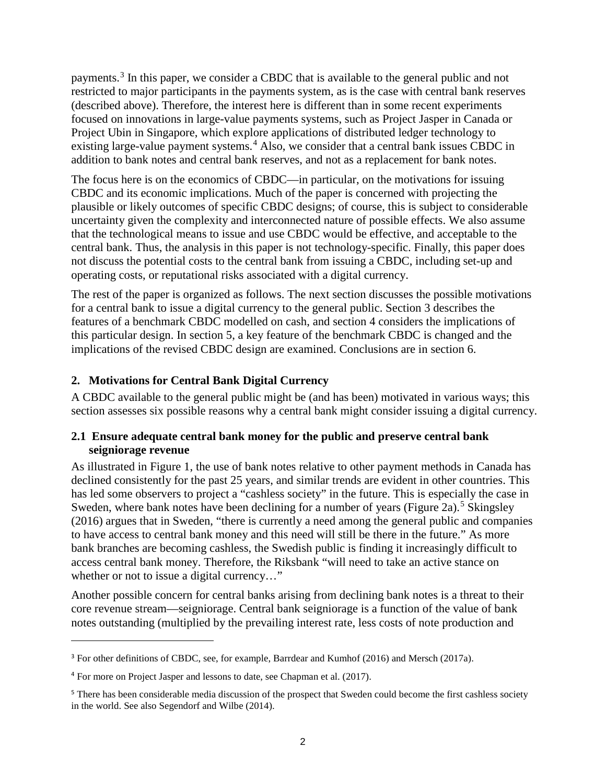payments.[3](#page-6-0) In this paper, we consider a CBDC that is available to the general public and not restricted to major participants in the payments system, as is the case with central bank reserves (described above). Therefore, the interest here is different than in some recent experiments focused on innovations in large-value payments systems, such as Project Jasper in Canada or Project Ubin in Singapore, which explore applications of distributed ledger technology to existing large-value payment systems.<sup>[4](#page-6-1)</sup> Also, we consider that a central bank issues CBDC in addition to bank notes and central bank reserves, and not as a replacement for bank notes.

The focus here is on the economics of CBDC—in particular, on the motivations for issuing CBDC and its economic implications. Much of the paper is concerned with projecting the plausible or likely outcomes of specific CBDC designs; of course, this is subject to considerable uncertainty given the complexity and interconnected nature of possible effects. We also assume that the technological means to issue and use CBDC would be effective, and acceptable to the central bank. Thus, the analysis in this paper is not technology-specific. Finally, this paper does not discuss the potential costs to the central bank from issuing a CBDC, including set-up and operating costs, or reputational risks associated with a digital currency.

The rest of the paper is organized as follows. The next section discusses the possible motivations for a central bank to issue a digital currency to the general public. Section 3 describes the features of a benchmark CBDC modelled on cash, and section 4 considers the implications of this particular design. In section 5, a key feature of the benchmark CBDC is changed and the implications of the revised CBDC design are examined. Conclusions are in section 6.

#### **2. Motivations for Central Bank Digital Currency**

A CBDC available to the general public might be (and has been) motivated in various ways; this section assesses six possible reasons why a central bank might consider issuing a digital currency.

#### **2.1 Ensure adequate central bank money for the public and preserve central bank seigniorage revenue**

As illustrated in Figure 1, the use of bank notes relative to other payment methods in Canada has declined consistently for the past 25 years, and similar trends are evident in other countries. This has led some observers to project a "cashless society" in the future. This is especially the case in Sweden, where bank notes have been declining for a number of years (Figure 2a).<sup>[5](#page-6-2)</sup> Skingsley (2016) argues that in Sweden, "there is currently a need among the general public and companies to have access to central bank money and this need will still be there in the future." As more bank branches are becoming cashless, the Swedish public is finding it increasingly difficult to access central bank money. Therefore, the Riksbank "will need to take an active stance on whether or not to issue a digital currency..."

Another possible concern for central banks arising from declining bank notes is a threat to their core revenue stream—seigniorage. Central bank seigniorage is a function of the value of bank notes outstanding (multiplied by the prevailing interest rate, less costs of note production and

<span id="page-6-0"></span><sup>&</sup>lt;sup>3</sup> For other definitions of CBDC, see, for example, Barrdear and Kumhof (2016) and Mersch (2017a).

<span id="page-6-1"></span><sup>4</sup> For more on Project Jasper and lessons to date, see Chapman et al. (2017).

<span id="page-6-2"></span><sup>&</sup>lt;sup>5</sup> There has been considerable media discussion of the prospect that Sweden could become the first cashless society in the world. See also Segendorf and Wilbe (2014).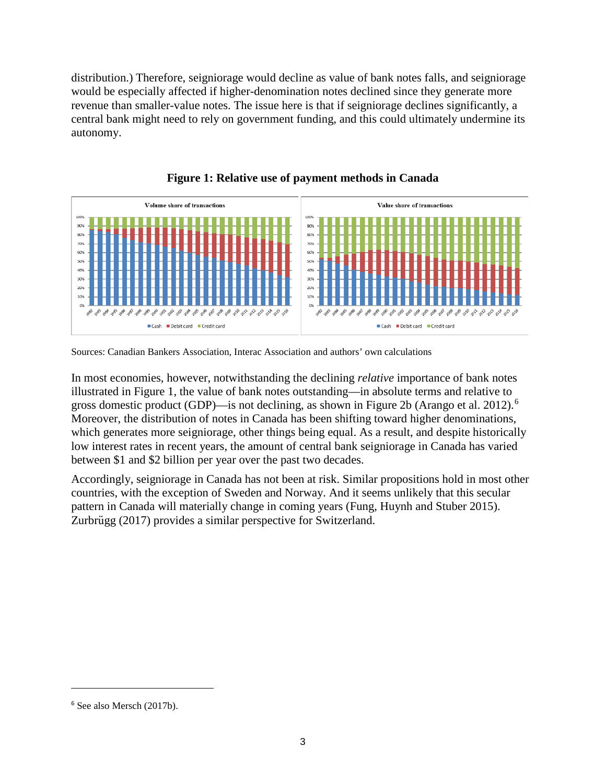distribution.) Therefore, seigniorage would decline as value of bank notes falls, and seigniorage would be especially affected if higher-denomination notes declined since they generate more revenue than smaller-value notes. The issue here is that if seigniorage declines significantly, a central bank might need to rely on government funding, and this could ultimately undermine its autonomy.





In most economies, however, notwithstanding the declining *relative* importance of bank notes illustrated in Figure 1, the value of bank notes outstanding—in absolute terms and relative to gross domestic product (GDP)—is not declining, as shown in Figure 2b (Arango et al. 2012). [6](#page-7-0) Moreover, the distribution of notes in Canada has been shifting toward higher denominations, which generates more seigniorage, other things being equal. As a result, and despite historically low interest rates in recent years, the amount of central bank seigniorage in Canada has varied between \$1 and \$2 billion per year over the past two decades.

Accordingly, seigniorage in Canada has not been at risk. Similar propositions hold in most other countries, with the exception of Sweden and Norway. And it seems unlikely that this secular pattern in Canada will materially change in coming years (Fung, Huynh and Stuber 2015). Zurbrügg (2017) provides a similar perspective for Switzerland.

Sources: Canadian Bankers Association, Interac Association and authors' own calculations

<span id="page-7-0"></span><sup>6</sup> See also Mersch (2017b).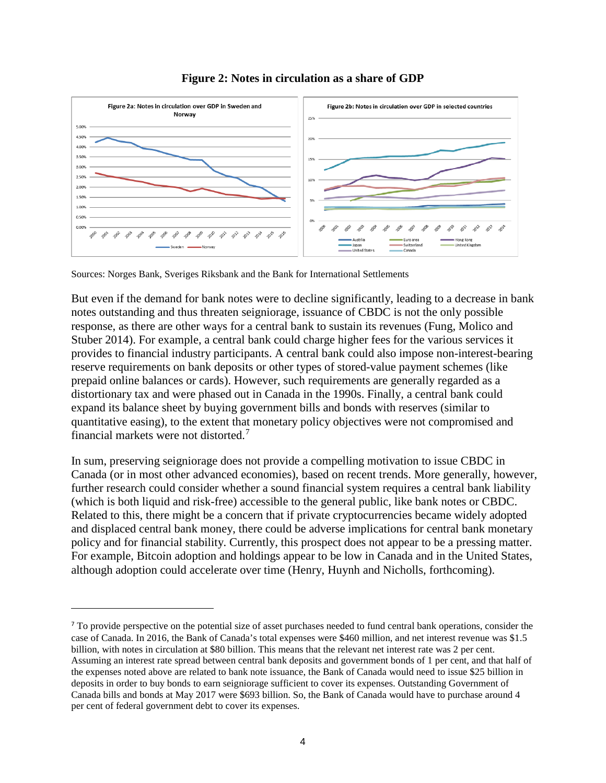

**Figure 2: Notes in circulation as a share of GDP** 

Sources: Norges Bank, Sveriges Riksbank and the Bank for International Settlements

 $\overline{a}$ 

But even if the demand for bank notes were to decline significantly, leading to a decrease in bank notes outstanding and thus threaten seigniorage, issuance of CBDC is not the only possible response, as there are other ways for a central bank to sustain its revenues (Fung, Molico and Stuber 2014). For example, a central bank could charge higher fees for the various services it provides to financial industry participants. A central bank could also impose non-interest-bearing reserve requirements on bank deposits or other types of stored-value payment schemes (like prepaid online balances or cards). However, such requirements are generally regarded as a distortionary tax and were phased out in Canada in the 1990s. Finally, a central bank could expand its balance sheet by buying government bills and bonds with reserves (similar to quantitative easing), to the extent that monetary policy objectives were not compromised and financial markets were not distorted.[7](#page-8-0)

In sum, preserving seigniorage does not provide a compelling motivation to issue CBDC in Canada (or in most other advanced economies), based on recent trends. More generally, however, further research could consider whether a sound financial system requires a central bank liability (which is both liquid and risk-free) accessible to the general public, like bank notes or CBDC. Related to this, there might be a concern that if private cryptocurrencies became widely adopted and displaced central bank money, there could be adverse implications for central bank monetary policy and for financial stability. Currently, this prospect does not appear to be a pressing matter. For example, Bitcoin adoption and holdings appear to be low in Canada and in the United States, although adoption could accelerate over time (Henry, Huynh and Nicholls, forthcoming).

<span id="page-8-0"></span><sup>7</sup> To provide perspective on the potential size of asset purchases needed to fund central bank operations, consider the case of Canada. In 2016, the Bank of Canada's total expenses were \$460 million, and net interest revenue was \$1.5 billion, with notes in circulation at \$80 billion. This means that the relevant net interest rate was 2 per cent. Assuming an interest rate spread between central bank deposits and government bonds of 1 per cent, and that half of the expenses noted above are related to bank note issuance, the Bank of Canada would need to issue \$25 billion in deposits in order to buy bonds to earn seigniorage sufficient to cover its expenses. Outstanding Government of Canada bills and bonds at May 2017 were \$693 billion. So, the Bank of Canada would have to purchase around 4 per cent of federal government debt to cover its expenses.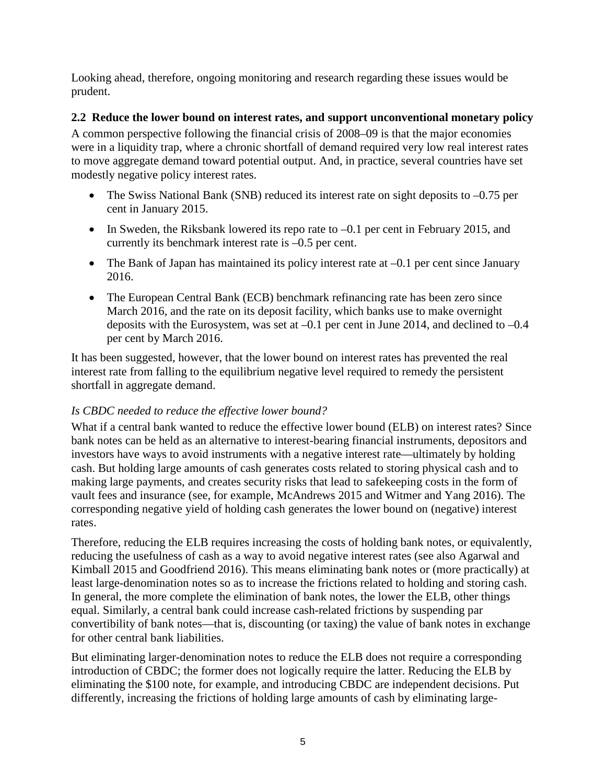Looking ahead, therefore, ongoing monitoring and research regarding these issues would be prudent.

#### **2.2 Reduce the lower bound on interest rates, and support unconventional monetary policy**

A common perspective following the financial crisis of 2008–09 is that the major economies were in a liquidity trap, where a chronic shortfall of demand required very low real interest rates to move aggregate demand toward potential output. And, in practice, several countries have set modestly negative policy interest rates.

- The Swiss National Bank (SNB) reduced its interest rate on sight deposits to  $-0.75$  per cent in January 2015.
- In Sweden, the Riksbank lowered its repo rate to  $-0.1$  per cent in February 2015, and currently its benchmark interest rate is –0.5 per cent.
- The Bank of Japan has maintained its policy interest rate at  $-0.1$  per cent since January 2016.
- The European Central Bank (ECB) benchmark refinancing rate has been zero since March 2016, and the rate on its deposit facility, which banks use to make overnight deposits with the Eurosystem, was set at –0.1 per cent in June 2014, and declined to –0.4 per cent by March 2016.

It has been suggested, however, that the lower bound on interest rates has prevented the real interest rate from falling to the equilibrium negative level required to remedy the persistent shortfall in aggregate demand.

#### *Is CBDC needed to reduce the effective lower bound?*

What if a central bank wanted to reduce the effective lower bound (ELB) on interest rates? Since bank notes can be held as an alternative to interest-bearing financial instruments, depositors and investors have ways to avoid instruments with a negative interest rate—ultimately by holding cash. But holding large amounts of cash generates costs related to storing physical cash and to making large payments, and creates security risks that lead to safekeeping costs in the form of vault fees and insurance (see, for example, McAndrews 2015 and Witmer and Yang 2016). The corresponding negative yield of holding cash generates the lower bound on (negative) interest rates.

Therefore, reducing the ELB requires increasing the costs of holding bank notes, or equivalently, reducing the usefulness of cash as a way to avoid negative interest rates (see also Agarwal and Kimball 2015 and Goodfriend 2016). This means eliminating bank notes or (more practically) at least large-denomination notes so as to increase the frictions related to holding and storing cash. In general, the more complete the elimination of bank notes, the lower the ELB, other things equal. Similarly, a central bank could increase cash-related frictions by suspending par convertibility of bank notes—that is, discounting (or taxing) the value of bank notes in exchange for other central bank liabilities.

But eliminating larger-denomination notes to reduce the ELB does not require a corresponding introduction of CBDC; the former does not logically require the latter. Reducing the ELB by eliminating the \$100 note, for example, and introducing CBDC are independent decisions. Put differently, increasing the frictions of holding large amounts of cash by eliminating large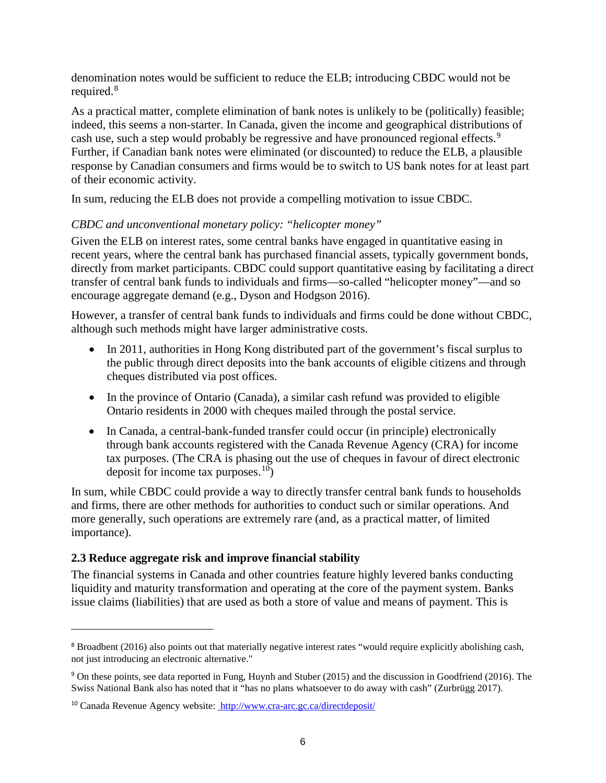denomination notes would be sufficient to reduce the ELB; introducing CBDC would not be required.<sup>[8](#page-10-0)</sup>

As a practical matter, complete elimination of bank notes is unlikely to be (politically) feasible; indeed, this seems a non-starter. In Canada, given the income and geographical distributions of cash use, such a step would probably be regressive and have pronounced regional effects.<sup>[9](#page-10-1)</sup> Further, if Canadian bank notes were eliminated (or discounted) to reduce the ELB, a plausible response by Canadian consumers and firms would be to switch to US bank notes for at least part of their economic activity.

In sum, reducing the ELB does not provide a compelling motivation to issue CBDC.

#### *CBDC and unconventional monetary policy: "helicopter money"*

Given the ELB on interest rates, some central banks have engaged in quantitative easing in recent years, where the central bank has purchased financial assets, typically government bonds, directly from market participants. CBDC could support quantitative easing by facilitating a direct transfer of central bank funds to individuals and firms—so-called "helicopter money"—and so encourage aggregate demand (e.g., Dyson and Hodgson 2016).

However, a transfer of central bank funds to individuals and firms could be done without CBDC, although such methods might have larger administrative costs.

- In 2011, authorities in Hong Kong distributed part of the government's fiscal surplus to the public through direct deposits into the bank accounts of eligible citizens and through cheques distributed via post offices.
- In the province of Ontario (Canada), a similar cash refund was provided to eligible Ontario residents in 2000 with cheques mailed through the postal service.
- In Canada, a central-bank-funded transfer could occur (in principle) electronically through bank accounts registered with the Canada Revenue Agency (CRA) for income tax purposes. (The CRA is phasing out the use of cheques in favour of direct electronic deposit for income tax purposes.<sup>10</sup>)

In sum, while CBDC could provide a way to directly transfer central bank funds to households and firms, there are other methods for authorities to conduct such or similar operations. And more generally, such operations are extremely rare (and, as a practical matter, of limited importance).

#### **2.3 Reduce aggregate risk and improve financial stability**

 $\overline{a}$ 

The financial systems in Canada and other countries feature highly levered banks conducting liquidity and maturity transformation and operating at the core of the payment system. Banks issue claims (liabilities) that are used as both a store of value and means of payment. This is

<span id="page-10-0"></span><sup>&</sup>lt;sup>8</sup> Broadbent (2016) also points out that materially negative interest rates "would require explicitly abolishing cash, not just introducing an electronic alternative."

<span id="page-10-1"></span><sup>9</sup> On these points, see data reported in Fung, Huynh and Stuber (2015) and the discussion in Goodfriend (2016). The Swiss National Bank also has noted that it "has no plans whatsoever to do away with cash" (Zurbrügg 2017).

<span id="page-10-2"></span><sup>&</sup>lt;sup>10</sup> Canada Revenue Agency website: <http://www.cra-arc.gc.ca/directdeposit/>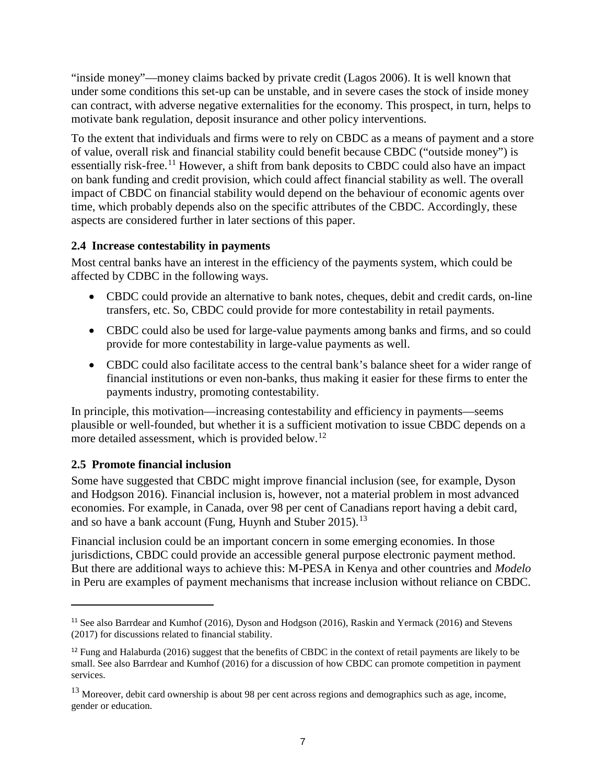"inside money"—money claims backed by private credit (Lagos 2006). It is well known that under some conditions this set-up can be unstable, and in severe cases the stock of inside money can contract, with adverse negative externalities for the economy. This prospect, in turn, helps to motivate bank regulation, deposit insurance and other policy interventions.

To the extent that individuals and firms were to rely on CBDC as a means of payment and a store of value, overall risk and financial stability could benefit because CBDC ("outside money") is essentially risk-free.<sup>[11](#page-11-0)</sup> However, a shift from bank deposits to CBDC could also have an impact on bank funding and credit provision, which could affect financial stability as well. The overall impact of CBDC on financial stability would depend on the behaviour of economic agents over time, which probably depends also on the specific attributes of the CBDC. Accordingly, these aspects are considered further in later sections of this paper.

#### **2.4 Increase contestability in payments**

Most central banks have an interest in the efficiency of the payments system, which could be affected by CDBC in the following ways.

- CBDC could provide an alternative to bank notes, cheques, debit and credit cards, on-line transfers, etc. So, CBDC could provide for more contestability in retail payments.
- CBDC could also be used for large-value payments among banks and firms, and so could provide for more contestability in large-value payments as well.
- CBDC could also facilitate access to the central bank's balance sheet for a wider range of financial institutions or even non-banks, thus making it easier for these firms to enter the payments industry, promoting contestability.

In principle, this motivation—increasing contestability and efficiency in payments—seems plausible or well-founded, but whether it is a sufficient motivation to issue CBDC depends on a more detailed assessment, which is provided below.<sup>12</sup>

#### **2.5 Promote financial inclusion**

 $\overline{a}$ 

Some have suggested that CBDC might improve financial inclusion (see, for example, Dyson and Hodgson 2016). Financial inclusion is, however, not a material problem in most advanced economies. For example, in Canada, over 98 per cent of Canadians report having a debit card, and so have a bank account (Fung, Huynh and Stuber 2015).<sup>[13](#page-11-2)</sup>

Financial inclusion could be an important concern in some emerging economies. In those jurisdictions, CBDC could provide an accessible general purpose electronic payment method. But there are additional ways to achieve this: M-PESA in Kenya and other countries and *Modelo* in Peru are examples of payment mechanisms that increase inclusion without reliance on CBDC.

<span id="page-11-0"></span><sup>&</sup>lt;sup>11</sup> See also Barrdear and Kumhof (2016), Dyson and Hodgson (2016), Raskin and Yermack (2016) and Stevens (2017) for discussions related to financial stability.

<span id="page-11-1"></span><sup>&</sup>lt;sup>12</sup> Fung and Halaburda (2016) suggest that the benefits of CBDC in the context of retail payments are likely to be small. See also Barrdear and Kumhof (2016) for a discussion of how CBDC can promote competition in payment services.

<span id="page-11-2"></span> $13$  Moreover, debit card ownership is about 98 per cent across regions and demographics such as age, income, gender or education.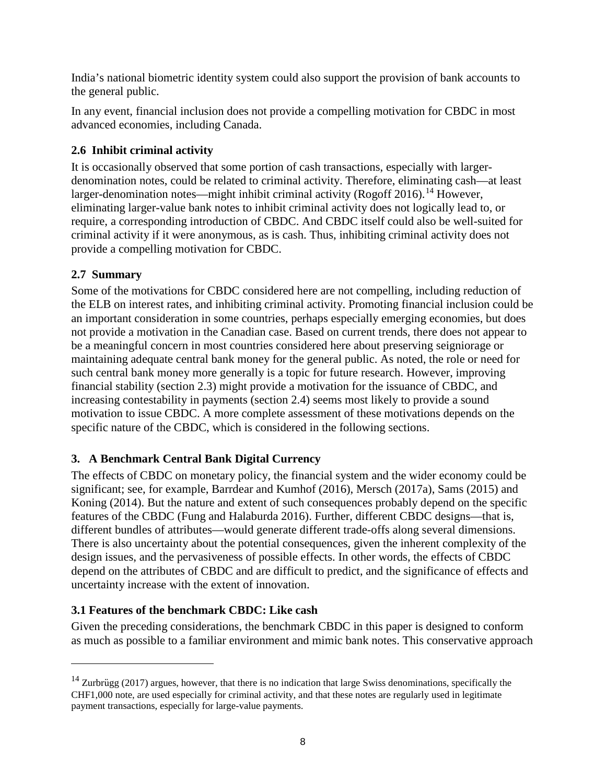India's national biometric identity system could also support the provision of bank accounts to the general public.

In any event, financial inclusion does not provide a compelling motivation for CBDC in most advanced economies, including Canada.

# **2.6 Inhibit criminal activity**

It is occasionally observed that some portion of cash transactions, especially with largerdenomination notes, could be related to criminal activity. Therefore, eliminating cash—at least larger-denomination notes—might inhibit criminal activity (Rogoff 2016).<sup>[14](#page-12-0)</sup> However, eliminating larger-value bank notes to inhibit criminal activity does not logically lead to, or require, a corresponding introduction of CBDC. And CBDC itself could also be well-suited for criminal activity if it were anonymous, as is cash. Thus, inhibiting criminal activity does not provide a compelling motivation for CBDC.

# **2.7 Summary**

 $\overline{a}$ 

Some of the motivations for CBDC considered here are not compelling, including reduction of the ELB on interest rates, and inhibiting criminal activity. Promoting financial inclusion could be an important consideration in some countries, perhaps especially emerging economies, but does not provide a motivation in the Canadian case. Based on current trends, there does not appear to be a meaningful concern in most countries considered here about preserving seigniorage or maintaining adequate central bank money for the general public. As noted, the role or need for such central bank money more generally is a topic for future research. However, improving financial stability (section 2.3) might provide a motivation for the issuance of CBDC, and increasing contestability in payments (section 2.4) seems most likely to provide a sound motivation to issue CBDC. A more complete assessment of these motivations depends on the specific nature of the CBDC, which is considered in the following sections.

# **3. A Benchmark Central Bank Digital Currency**

The effects of CBDC on monetary policy, the financial system and the wider economy could be significant; see, for example, Barrdear and Kumhof (2016), Mersch (2017a), Sams (2015) and Koning (2014). But the nature and extent of such consequences probably depend on the specific features of the CBDC (Fung and Halaburda 2016). Further, different CBDC designs—that is, different bundles of attributes—would generate different trade-offs along several dimensions. There is also uncertainty about the potential consequences, given the inherent complexity of the design issues, and the pervasiveness of possible effects. In other words, the effects of CBDC depend on the attributes of CBDC and are difficult to predict, and the significance of effects and uncertainty increase with the extent of innovation.

# **3.1 Features of the benchmark CBDC: Like cash**

Given the preceding considerations, the benchmark CBDC in this paper is designed to conform as much as possible to a familiar environment and mimic bank notes. This conservative approach

<span id="page-12-0"></span> $14$  Zurbrügg (2017) argues, however, that there is no indication that large Swiss denominations, specifically the CHF1,000 note, are used especially for criminal activity, and that these notes are regularly used in legitimate payment transactions, especially for large-value payments.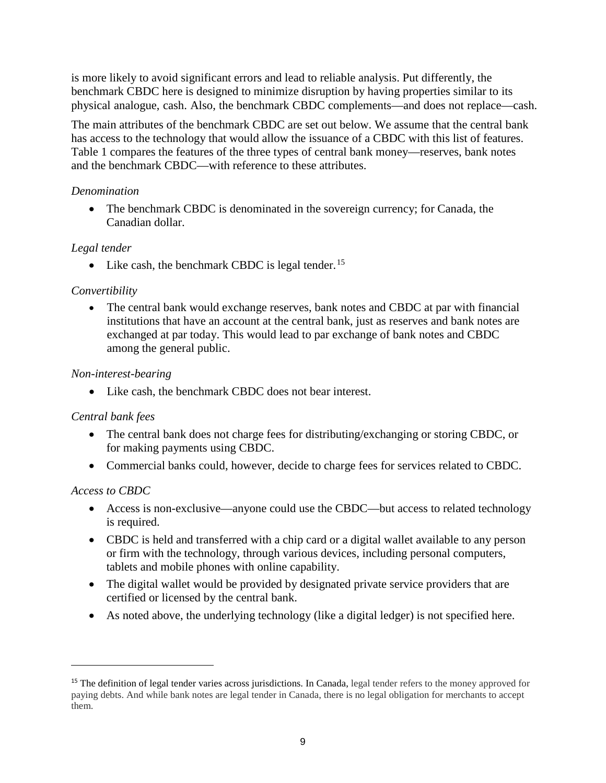is more likely to avoid significant errors and lead to reliable analysis. Put differently, the benchmark CBDC here is designed to minimize disruption by having properties similar to its physical analogue, cash. Also, the benchmark CBDC complements—and does not replace—cash.

The main attributes of the benchmark CBDC are set out below. We assume that the central bank has access to the technology that would allow the issuance of a CBDC with this list of features. Table 1 compares the features of the three types of central bank money—reserves, bank notes and the benchmark CBDC—with reference to these attributes.

#### *Denomination*

• The benchmark CBDC is denominated in the sovereign currency; for Canada, the Canadian dollar.

#### *Legal tender*

• Like cash, the benchmark CBDC is legal tender.<sup>[15](#page-13-0)</sup>

#### *Convertibility*

• The central bank would exchange reserves, bank notes and CBDC at par with financial institutions that have an account at the central bank, just as reserves and bank notes are exchanged at par today. This would lead to par exchange of bank notes and CBDC among the general public.

#### *Non-interest-bearing*

• Like cash, the benchmark CBDC does not bear interest.

#### *Central bank fees*

- The central bank does not charge fees for distributing/exchanging or storing CBDC, or for making payments using CBDC.
- Commercial banks could, however, decide to charge fees for services related to CBDC.

#### *Access to CBDC*

- Access is non-exclusive—anyone could use the CBDC—but access to related technology is required.
- CBDC is held and transferred with a chip card or a digital wallet available to any person or firm with the technology, through various devices, including personal computers, tablets and mobile phones with online capability.
- The digital wallet would be provided by designated private service providers that are certified or licensed by the central bank.
- As noted above, the underlying technology (like a digital ledger) is not specified here.

<span id="page-13-0"></span><sup>&</sup>lt;sup>15</sup> The definition of legal tender varies across jurisdictions. In Canada, legal tender refers to the money approved for paying debts. And while bank notes are legal tender in Canada, there is no legal obligation for merchants to accept them.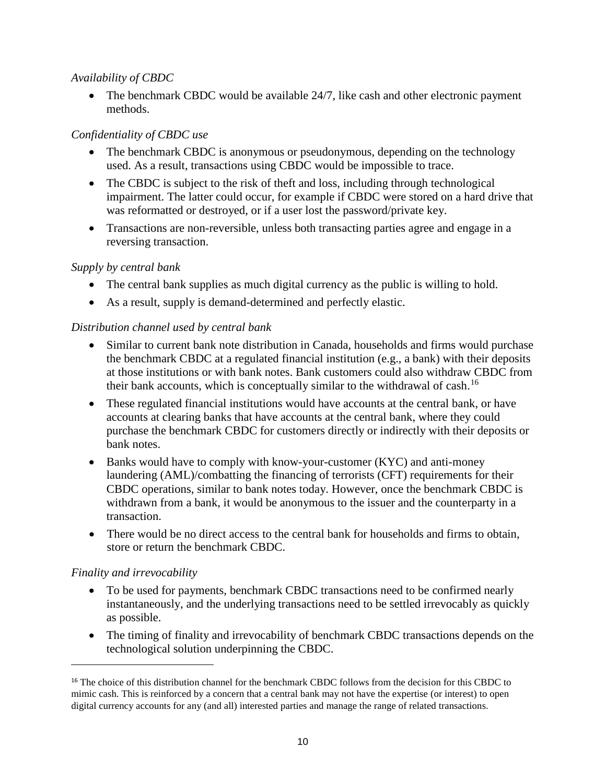#### *Availability of CBDC*

• The benchmark CBDC would be available 24/7, like cash and other electronic payment methods.

## *Confidentiality of CBDC use*

- The benchmark CBDC is anonymous or pseudonymous, depending on the technology used. As a result, transactions using CBDC would be impossible to trace.
- The CBDC is subject to the risk of theft and loss, including through technological impairment. The latter could occur, for example if CBDC were stored on a hard drive that was reformatted or destroyed, or if a user lost the password/private key.
- Transactions are non-reversible, unless both transacting parties agree and engage in a reversing transaction.

#### *Supply by central bank*

- The central bank supplies as much digital currency as the public is willing to hold.
- As a result, supply is demand-determined and perfectly elastic.

## *Distribution channel used by central bank*

- Similar to current bank note distribution in Canada, households and firms would purchase the benchmark CBDC at a regulated financial institution (e.g., a bank) with their deposits at those institutions or with bank notes. Bank customers could also withdraw CBDC from their bank accounts, which is conceptually similar to the withdrawal of cash.[16](#page-14-0)
- These regulated financial institutions would have accounts at the central bank, or have accounts at clearing banks that have accounts at the central bank, where they could purchase the benchmark CBDC for customers directly or indirectly with their deposits or bank notes.
- Banks would have to comply with know-your-customer (KYC) and anti-money laundering (AML)/combatting the financing of terrorists (CFT) requirements for their CBDC operations, similar to bank notes today. However, once the benchmark CBDC is withdrawn from a bank, it would be anonymous to the issuer and the counterparty in a transaction.
- There would be no direct access to the central bank for households and firms to obtain, store or return the benchmark CBDC.

#### *Finality and irrevocability*

- To be used for payments, benchmark CBDC transactions need to be confirmed nearly instantaneously, and the underlying transactions need to be settled irrevocably as quickly as possible.
- The timing of finality and irrevocability of benchmark CBDC transactions depends on the technological solution underpinning the CBDC.

<span id="page-14-0"></span><sup>&</sup>lt;sup>16</sup> The choice of this distribution channel for the benchmark CBDC follows from the decision for this CBDC to mimic cash. This is reinforced by a concern that a central bank may not have the expertise (or interest) to open digital currency accounts for any (and all) interested parties and manage the range of related transactions.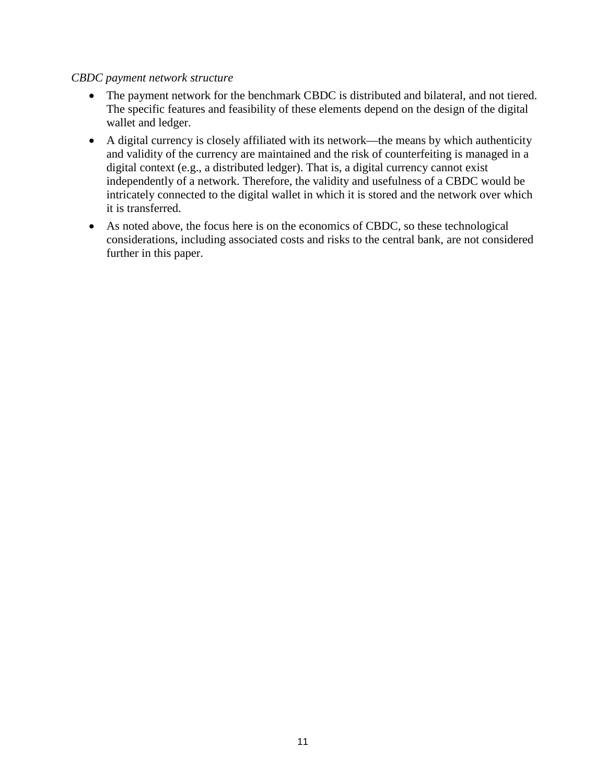#### *CBDC payment network structure*

- The payment network for the benchmark CBDC is distributed and bilateral, and not tiered. The specific features and feasibility of these elements depend on the design of the digital wallet and ledger.
- A digital currency is closely affiliated with its network—the means by which authenticity and validity of the currency are maintained and the risk of counterfeiting is managed in a digital context (e.g., a distributed ledger). That is, a digital currency cannot exist independently of a network. Therefore, the validity and usefulness of a CBDC would be intricately connected to the digital wallet in which it is stored and the network over which it is transferred.
- As noted above, the focus here is on the economics of CBDC, so these technological considerations, including associated costs and risks to the central bank, are not considered further in this paper.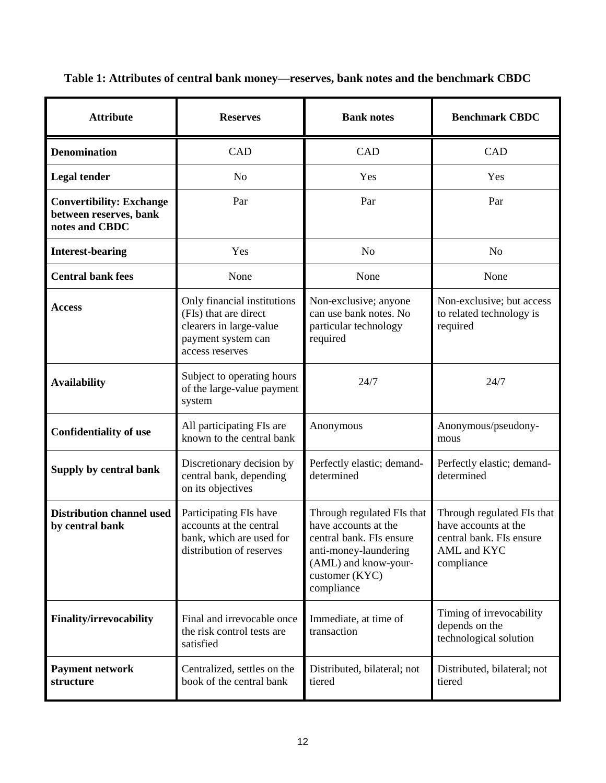| <b>Attribute</b>                                                            | <b>Reserves</b>                                                                                                          | <b>Bank notes</b>                                                                                                                                               | <b>Benchmark CBDC</b>                                                                                       |
|-----------------------------------------------------------------------------|--------------------------------------------------------------------------------------------------------------------------|-----------------------------------------------------------------------------------------------------------------------------------------------------------------|-------------------------------------------------------------------------------------------------------------|
| <b>Denomination</b>                                                         | CAD                                                                                                                      | CAD                                                                                                                                                             | CAD                                                                                                         |
| <b>Legal tender</b>                                                         | N <sub>o</sub>                                                                                                           | Yes                                                                                                                                                             | Yes                                                                                                         |
| <b>Convertibility: Exchange</b><br>between reserves, bank<br>notes and CBDC | Par                                                                                                                      | Par                                                                                                                                                             | Par                                                                                                         |
| <b>Interest-bearing</b>                                                     | Yes                                                                                                                      | N <sub>o</sub>                                                                                                                                                  | N <sub>o</sub>                                                                                              |
| <b>Central bank fees</b>                                                    | None                                                                                                                     | None                                                                                                                                                            | None                                                                                                        |
| <b>Access</b>                                                               | Only financial institutions<br>(FIs) that are direct<br>clearers in large-value<br>payment system can<br>access reserves | Non-exclusive; anyone<br>can use bank notes. No<br>particular technology<br>required                                                                            | Non-exclusive; but access<br>to related technology is<br>required                                           |
| <b>Availability</b>                                                         | Subject to operating hours<br>of the large-value payment<br>system                                                       | 24/7                                                                                                                                                            | 24/7                                                                                                        |
| <b>Confidentiality of use</b>                                               | All participating FIs are<br>known to the central bank                                                                   | Anonymous                                                                                                                                                       | Anonymous/pseudony-<br>mous                                                                                 |
| Supply by central bank                                                      | Discretionary decision by<br>central bank, depending<br>on its objectives                                                | Perfectly elastic; demand-<br>determined                                                                                                                        | Perfectly elastic; demand-<br>determined                                                                    |
| <b>Distribution channel used</b><br>by central bank                         | Participating FIs have<br>accounts at the central<br>bank, which are used for<br>distribution of reserves                | Through regulated FIs that<br>have accounts at the<br>central bank. FIs ensure<br>anti-money-laundering<br>(AML) and know-your-<br>customer (KYC)<br>compliance | Through regulated FIs that<br>have accounts at the<br>central bank. FIs ensure<br>AML and KYC<br>compliance |
| <b>Finality/irrevocability</b>                                              | Final and irrevocable once<br>the risk control tests are<br>satisfied                                                    | Immediate, at time of<br>transaction                                                                                                                            | Timing of irrevocability<br>depends on the<br>technological solution                                        |
| <b>Payment network</b><br>structure                                         | Centralized, settles on the<br>book of the central bank                                                                  | Distributed, bilateral; not<br>tiered                                                                                                                           | Distributed, bilateral; not<br>tiered                                                                       |

**Table 1: Attributes of central bank money—reserves, bank notes and the benchmark CBDC**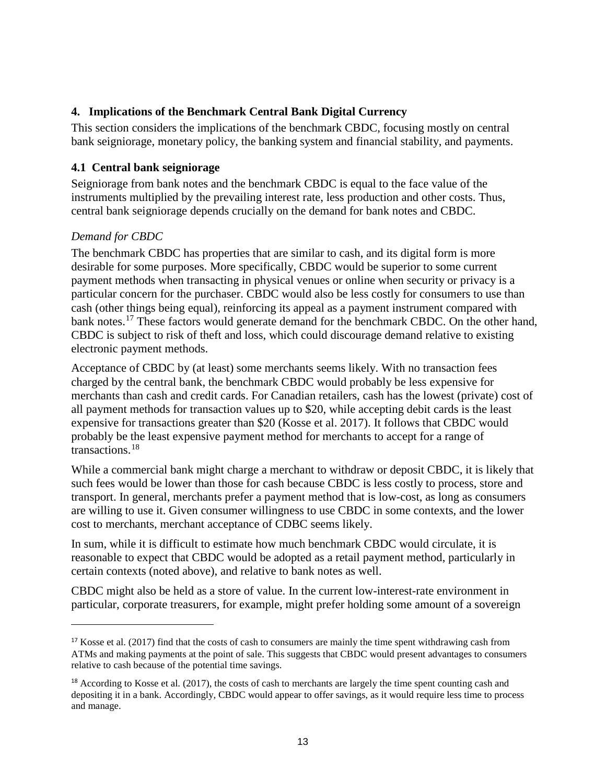#### **4. Implications of the Benchmark Central Bank Digital Currency**

This section considers the implications of the benchmark CBDC, focusing mostly on central bank seigniorage, monetary policy, the banking system and financial stability, and payments.

#### **4.1 Central bank seigniorage**

Seigniorage from bank notes and the benchmark CBDC is equal to the face value of the instruments multiplied by the prevailing interest rate, less production and other costs. Thus, central bank seigniorage depends crucially on the demand for bank notes and CBDC.

#### *Demand for CBDC*

 $\overline{a}$ 

The benchmark CBDC has properties that are similar to cash, and its digital form is more desirable for some purposes. More specifically, CBDC would be superior to some current payment methods when transacting in physical venues or online when security or privacy is a particular concern for the purchaser. CBDC would also be less costly for consumers to use than cash (other things being equal), reinforcing its appeal as a payment instrument compared with bank notes.<sup>[17](#page-17-0)</sup> These factors would generate demand for the benchmark CBDC. On the other hand, CBDC is subject to risk of theft and loss, which could discourage demand relative to existing electronic payment methods.

Acceptance of CBDC by (at least) some merchants seems likely. With no transaction fees charged by the central bank, the benchmark CBDC would probably be less expensive for merchants than cash and credit cards. For Canadian retailers, cash has the lowest (private) cost of all payment methods for transaction values up to \$20, while accepting debit cards is the least expensive for transactions greater than \$20 (Kosse et al. 2017). It follows that CBDC would probably be the least expensive payment method for merchants to accept for a range of transactions.[18](#page-17-1)

While a commercial bank might charge a merchant to withdraw or deposit CBDC, it is likely that such fees would be lower than those for cash because CBDC is less costly to process, store and transport. In general, merchants prefer a payment method that is low-cost, as long as consumers are willing to use it. Given consumer willingness to use CBDC in some contexts, and the lower cost to merchants, merchant acceptance of CDBC seems likely.

In sum, while it is difficult to estimate how much benchmark CBDC would circulate, it is reasonable to expect that CBDC would be adopted as a retail payment method, particularly in certain contexts (noted above), and relative to bank notes as well.

CBDC might also be held as a store of value. In the current low-interest-rate environment in particular, corporate treasurers, for example, might prefer holding some amount of a sovereign

<span id="page-17-0"></span><sup>&</sup>lt;sup>17</sup> Kosse et al. (2017) find that the costs of cash to consumers are mainly the time spent withdrawing cash from ATMs and making payments at the point of sale. This suggests that CBDC would present advantages to consumers relative to cash because of the potential time savings.

<span id="page-17-1"></span> $18$  According to Kosse et al. (2017), the costs of cash to merchants are largely the time spent counting cash and depositing it in a bank. Accordingly, CBDC would appear to offer savings, as it would require less time to process and manage.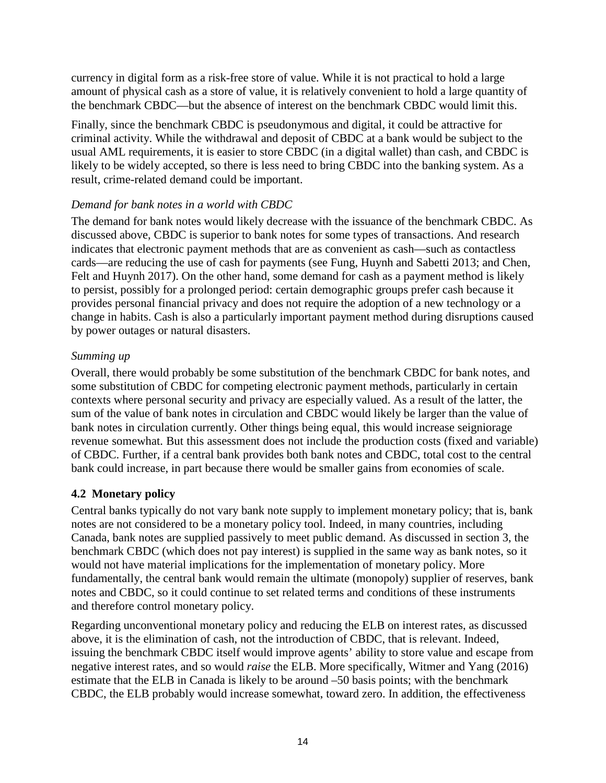currency in digital form as a risk-free store of value. While it is not practical to hold a large amount of physical cash as a store of value, it is relatively convenient to hold a large quantity of the benchmark CBDC—but the absence of interest on the benchmark CBDC would limit this.

Finally, since the benchmark CBDC is pseudonymous and digital, it could be attractive for criminal activity. While the withdrawal and deposit of CBDC at a bank would be subject to the usual AML requirements, it is easier to store CBDC (in a digital wallet) than cash, and CBDC is likely to be widely accepted, so there is less need to bring CBDC into the banking system. As a result, crime-related demand could be important.

#### *Demand for bank notes in a world with CBDC*

The demand for bank notes would likely decrease with the issuance of the benchmark CBDC. As discussed above, CBDC is superior to bank notes for some types of transactions. And research indicates that electronic payment methods that are as convenient as cash—such as contactless cards—are reducing the use of cash for payments (see Fung, Huynh and Sabetti 2013; and Chen, Felt and Huynh 2017). On the other hand, some demand for cash as a payment method is likely to persist, possibly for a prolonged period: certain demographic groups prefer cash because it provides personal financial privacy and does not require the adoption of a new technology or a change in habits. Cash is also a particularly important payment method during disruptions caused by power outages or natural disasters.

#### *Summing up*

Overall, there would probably be some substitution of the benchmark CBDC for bank notes, and some substitution of CBDC for competing electronic payment methods, particularly in certain contexts where personal security and privacy are especially valued. As a result of the latter, the sum of the value of bank notes in circulation and CBDC would likely be larger than the value of bank notes in circulation currently. Other things being equal, this would increase seigniorage revenue somewhat. But this assessment does not include the production costs (fixed and variable) of CBDC. Further, if a central bank provides both bank notes and CBDC, total cost to the central bank could increase, in part because there would be smaller gains from economies of scale.

#### **4.2 Monetary policy**

Central banks typically do not vary bank note supply to implement monetary policy; that is, bank notes are not considered to be a monetary policy tool. Indeed, in many countries, including Canada, bank notes are supplied passively to meet public demand. As discussed in section 3, the benchmark CBDC (which does not pay interest) is supplied in the same way as bank notes, so it would not have material implications for the implementation of monetary policy. More fundamentally, the central bank would remain the ultimate (monopoly) supplier of reserves, bank notes and CBDC, so it could continue to set related terms and conditions of these instruments and therefore control monetary policy.

Regarding unconventional monetary policy and reducing the ELB on interest rates, as discussed above, it is the elimination of cash, not the introduction of CBDC, that is relevant. Indeed, issuing the benchmark CBDC itself would improve agents' ability to store value and escape from negative interest rates, and so would *raise* the ELB. More specifically, Witmer and Yang (2016) estimate that the ELB in Canada is likely to be around –50 basis points; with the benchmark CBDC, the ELB probably would increase somewhat, toward zero. In addition, the effectiveness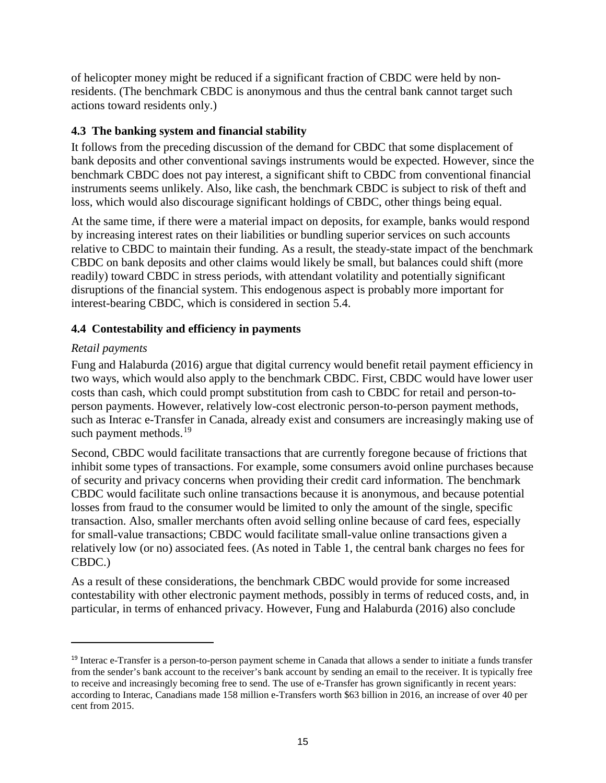of helicopter money might be reduced if a significant fraction of CBDC were held by nonresidents. (The benchmark CBDC is anonymous and thus the central bank cannot target such actions toward residents only.)

#### **4.3 The banking system and financial stability**

It follows from the preceding discussion of the demand for CBDC that some displacement of bank deposits and other conventional savings instruments would be expected. However, since the benchmark CBDC does not pay interest, a significant shift to CBDC from conventional financial instruments seems unlikely. Also, like cash, the benchmark CBDC is subject to risk of theft and loss, which would also discourage significant holdings of CBDC, other things being equal.

At the same time, if there were a material impact on deposits, for example, banks would respond by increasing interest rates on their liabilities or bundling superior services on such accounts relative to CBDC to maintain their funding. As a result, the steady-state impact of the benchmark CBDC on bank deposits and other claims would likely be small, but balances could shift (more readily) toward CBDC in stress periods, with attendant volatility and potentially significant disruptions of the financial system. This endogenous aspect is probably more important for interest-bearing CBDC, which is considered in section 5.4.

#### **4.4 Contestability and efficiency in payments**

#### *Retail payments*

 $\overline{a}$ 

Fung and Halaburda (2016) argue that digital currency would benefit retail payment efficiency in two ways, which would also apply to the benchmark CBDC. First, CBDC would have lower user costs than cash, which could prompt substitution from cash to CBDC for retail and person-toperson payments. However, relatively low-cost electronic person-to-person payment methods, such as Interac e-Transfer in Canada, already exist and consumers are increasingly making use of such payment methods.<sup>[19](#page-19-0)</sup>

Second, CBDC would facilitate transactions that are currently foregone because of frictions that inhibit some types of transactions. For example, some consumers avoid online purchases because of security and privacy concerns when providing their credit card information. The benchmark CBDC would facilitate such online transactions because it is anonymous, and because potential losses from fraud to the consumer would be limited to only the amount of the single, specific transaction. Also, smaller merchants often avoid selling online because of card fees, especially for small-value transactions; CBDC would facilitate small-value online transactions given a relatively low (or no) associated fees. (As noted in Table 1, the central bank charges no fees for CBDC.)

As a result of these considerations, the benchmark CBDC would provide for some increased contestability with other electronic payment methods, possibly in terms of reduced costs, and, in particular, in terms of enhanced privacy. However, Fung and Halaburda (2016) also conclude

<span id="page-19-0"></span><sup>19</sup> Interac e-Transfer is a person-to-person payment scheme in Canada that allows a sender to initiate a funds transfer from the sender's bank account to the receiver's bank account by sending an email to the receiver. It is typically free to receive and increasingly becoming free to send. The use of e-Transfer has grown significantly in recent years: according to Interac, Canadians made 158 million e-Transfers worth \$63 billion in 2016, an increase of over 40 per cent from 2015.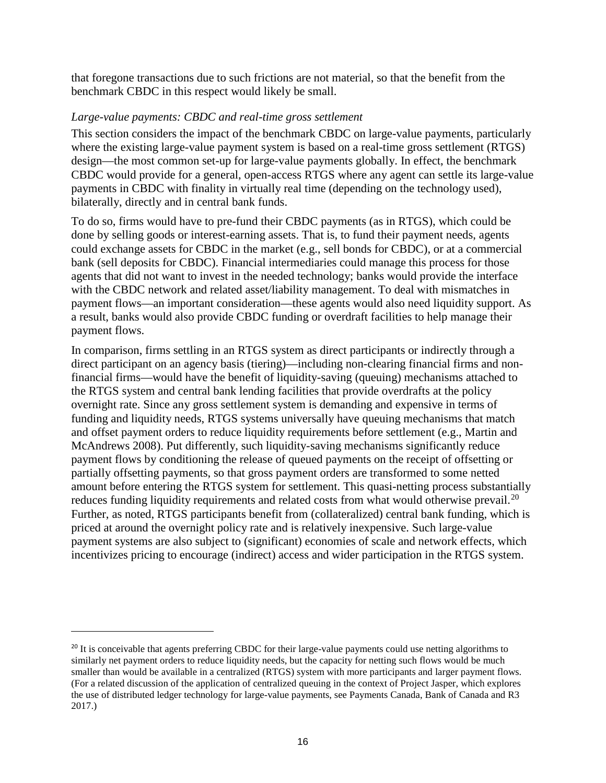that foregone transactions due to such frictions are not material, so that the benefit from the benchmark CBDC in this respect would likely be small.

#### *Large-value payments: CBDC and real-time gross settlement*

This section considers the impact of the benchmark CBDC on large-value payments, particularly where the existing large-value payment system is based on a real-time gross settlement (RTGS) design—the most common set-up for large-value payments globally. In effect, the benchmark CBDC would provide for a general, open-access RTGS where any agent can settle its large-value payments in CBDC with finality in virtually real time (depending on the technology used), bilaterally, directly and in central bank funds.

To do so, firms would have to pre-fund their CBDC payments (as in RTGS), which could be done by selling goods or interest-earning assets. That is, to fund their payment needs, agents could exchange assets for CBDC in the market (e.g., sell bonds for CBDC), or at a commercial bank (sell deposits for CBDC). Financial intermediaries could manage this process for those agents that did not want to invest in the needed technology; banks would provide the interface with the CBDC network and related asset/liability management. To deal with mismatches in payment flows—an important consideration—these agents would also need liquidity support. As a result, banks would also provide CBDC funding or overdraft facilities to help manage their payment flows.

In comparison, firms settling in an RTGS system as direct participants or indirectly through a direct participant on an agency basis (tiering)—including non-clearing financial firms and nonfinancial firms—would have the benefit of liquidity-saving (queuing) mechanisms attached to the RTGS system and central bank lending facilities that provide overdrafts at the policy overnight rate. Since any gross settlement system is demanding and expensive in terms of funding and liquidity needs, RTGS systems universally have queuing mechanisms that match and offset payment orders to reduce liquidity requirements before settlement (e.g., Martin and McAndrews 2008). Put differently, such liquidity-saving mechanisms significantly reduce payment flows by conditioning the release of queued payments on the receipt of offsetting or partially offsetting payments, so that gross payment orders are transformed to some netted amount before entering the RTGS system for settlement. This quasi-netting process substantially reduces funding liquidity requirements and related costs from what would otherwise prevail.<sup>[20](#page-20-0)</sup> Further, as noted, RTGS participants benefit from (collateralized) central bank funding, which is priced at around the overnight policy rate and is relatively inexpensive. Such large-value payment systems are also subject to (significant) economies of scale and network effects, which incentivizes pricing to encourage (indirect) access and wider participation in the RTGS system.

<span id="page-20-0"></span><sup>&</sup>lt;sup>20</sup> It is conceivable that agents preferring CBDC for their large-value payments could use netting algorithms to similarly net payment orders to reduce liquidity needs, but the capacity for netting such flows would be much smaller than would be available in a centralized (RTGS) system with more participants and larger payment flows. (For a related discussion of the application of centralized queuing in the context of Project Jasper, which explores the use of distributed ledger technology for large-value payments, see Payments Canada, Bank of Canada and R3 2017.)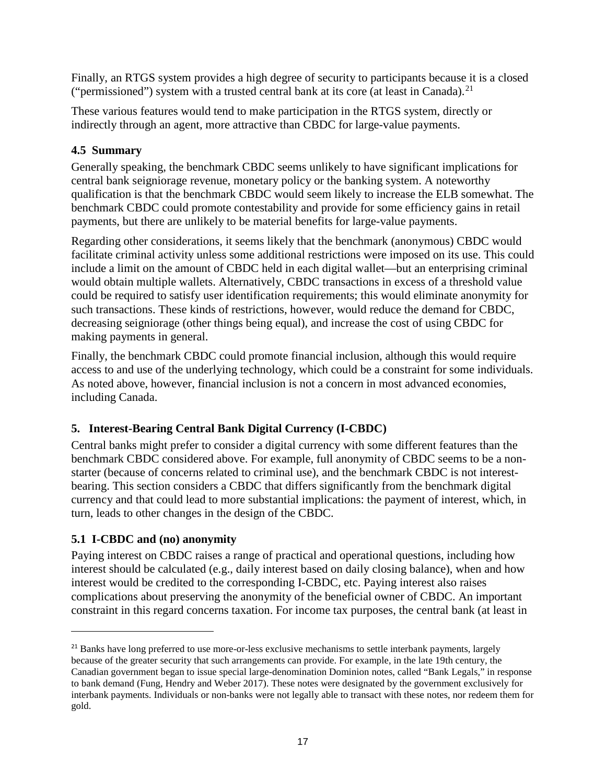Finally, an RTGS system provides a high degree of security to participants because it is a closed ("permissioned") system with a trusted central bank at its core (at least in Canada).<sup>[21](#page-21-0)</sup>

These various features would tend to make participation in the RTGS system, directly or indirectly through an agent, more attractive than CBDC for large-value payments.

# **4.5 Summary**

Generally speaking, the benchmark CBDC seems unlikely to have significant implications for central bank seigniorage revenue, monetary policy or the banking system. A noteworthy qualification is that the benchmark CBDC would seem likely to increase the ELB somewhat. The benchmark CBDC could promote contestability and provide for some efficiency gains in retail payments, but there are unlikely to be material benefits for large-value payments.

Regarding other considerations, it seems likely that the benchmark (anonymous) CBDC would facilitate criminal activity unless some additional restrictions were imposed on its use. This could include a limit on the amount of CBDC held in each digital wallet—but an enterprising criminal would obtain multiple wallets. Alternatively, CBDC transactions in excess of a threshold value could be required to satisfy user identification requirements; this would eliminate anonymity for such transactions. These kinds of restrictions, however, would reduce the demand for CBDC, decreasing seigniorage (other things being equal), and increase the cost of using CBDC for making payments in general.

Finally, the benchmark CBDC could promote financial inclusion, although this would require access to and use of the underlying technology, which could be a constraint for some individuals. As noted above, however, financial inclusion is not a concern in most advanced economies, including Canada.

# **5. Interest-Bearing Central Bank Digital Currency (I-CBDC)**

Central banks might prefer to consider a digital currency with some different features than the benchmark CBDC considered above. For example, full anonymity of CBDC seems to be a nonstarter (because of concerns related to criminal use), and the benchmark CBDC is not interestbearing. This section considers a CBDC that differs significantly from the benchmark digital currency and that could lead to more substantial implications: the payment of interest, which, in turn, leads to other changes in the design of the CBDC.

# **5.1 I-CBDC and (no) anonymity**

 $\overline{a}$ 

Paying interest on CBDC raises a range of practical and operational questions, including how interest should be calculated (e.g., daily interest based on daily closing balance), when and how interest would be credited to the corresponding I-CBDC, etc. Paying interest also raises complications about preserving the anonymity of the beneficial owner of CBDC. An important constraint in this regard concerns taxation. For income tax purposes, the central bank (at least in

<span id="page-21-0"></span><sup>&</sup>lt;sup>21</sup> Banks have long preferred to use more-or-less exclusive mechanisms to settle interbank payments, largely because of the greater security that such arrangements can provide. For example, in the late 19th century, the Canadian government began to issue special large-denomination Dominion notes, called "Bank Legals," in response to bank demand (Fung, Hendry and Weber 2017). These notes were designated by the government exclusively for interbank payments. Individuals or non-banks were not legally able to transact with these notes, nor redeem them for gold.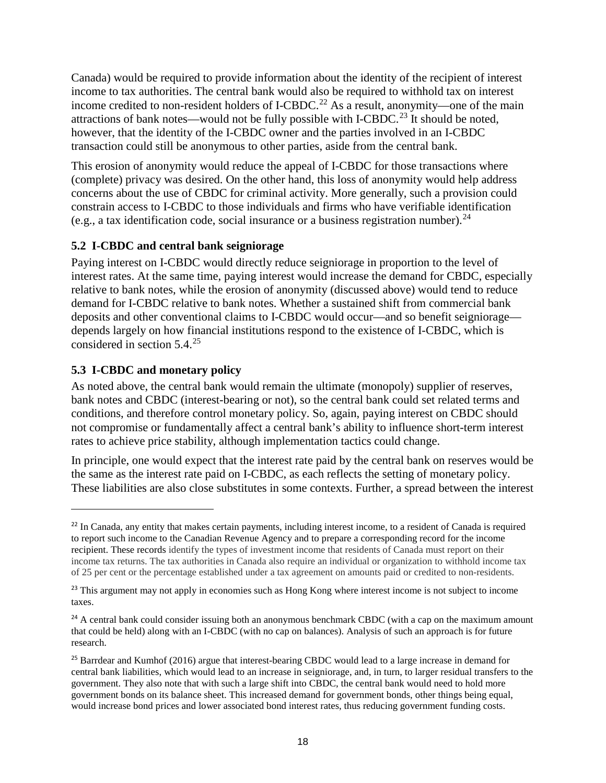Canada) would be required to provide information about the identity of the recipient of interest income to tax authorities. The central bank would also be required to withhold tax on interest income credited to non-resident holders of I-CBDC.<sup>[22](#page-22-0)</sup> As a result, anonymity—one of the main attractions of bank notes—would not be fully possible with I-CBDC.<sup>[23](#page-22-1)</sup> It should be noted, however, that the identity of the I-CBDC owner and the parties involved in an I-CBDC transaction could still be anonymous to other parties, aside from the central bank.

This erosion of anonymity would reduce the appeal of I-CBDC for those transactions where (complete) privacy was desired. On the other hand, this loss of anonymity would help address concerns about the use of CBDC for criminal activity. More generally, such a provision could constrain access to I-CBDC to those individuals and firms who have verifiable identification (e.g., a tax identification code, social insurance or a business registration number).  $^{24}$  $^{24}$  $^{24}$ 

#### **5.2 I-CBDC and central bank seigniorage**

Paying interest on I-CBDC would directly reduce seigniorage in proportion to the level of interest rates. At the same time, paying interest would increase the demand for CBDC, especially relative to bank notes, while the erosion of anonymity (discussed above) would tend to reduce demand for I-CBDC relative to bank notes. Whether a sustained shift from commercial bank deposits and other conventional claims to I-CBDC would occur—and so benefit seigniorage depends largely on how financial institutions respond to the existence of I-CBDC, which is considered in section 5.4. [25](#page-22-3)

#### **5.3 I-CBDC and monetary policy**

 $\overline{a}$ 

As noted above, the central bank would remain the ultimate (monopoly) supplier of reserves, bank notes and CBDC (interest-bearing or not), so the central bank could set related terms and conditions, and therefore control monetary policy. So, again, paying interest on CBDC should not compromise or fundamentally affect a central bank's ability to influence short-term interest rates to achieve price stability, although implementation tactics could change.

In principle, one would expect that the interest rate paid by the central bank on reserves would be the same as the interest rate paid on I-CBDC, as each reflects the setting of monetary policy. These liabilities are also close substitutes in some contexts. Further, a spread between the interest

<span id="page-22-0"></span><sup>&</sup>lt;sup>22</sup> In Canada, any entity that makes certain payments, including interest income, to a resident of Canada is required to report such income to the Canadian Revenue Agency and to prepare a corresponding record for the income recipient. These records identify the types of investment income that residents of Canada must report on their income tax returns. The tax authorities in Canada also require an individual or organization to withhold income tax of 25 per cent or the percentage established under a tax agreement on amounts paid or credited to non-residents.

<span id="page-22-1"></span><sup>&</sup>lt;sup>23</sup> This argument may not apply in economies such as Hong Kong where interest income is not subject to income taxes.

<span id="page-22-2"></span><sup>&</sup>lt;sup>24</sup> A central bank could consider issuing both an anonymous benchmark CBDC (with a cap on the maximum amount that could be held) along with an I-CBDC (with no cap on balances). Analysis of such an approach is for future research.

<span id="page-22-3"></span><sup>&</sup>lt;sup>25</sup> Barrdear and Kumhof (2016) argue that interest-bearing CBDC would lead to a large increase in demand for central bank liabilities, which would lead to an increase in seigniorage, and, in turn, to larger residual transfers to the government. They also note that with such a large shift into CBDC, the central bank would need to hold more government bonds on its balance sheet. This increased demand for government bonds, other things being equal, would increase bond prices and lower associated bond interest rates, thus reducing government funding costs.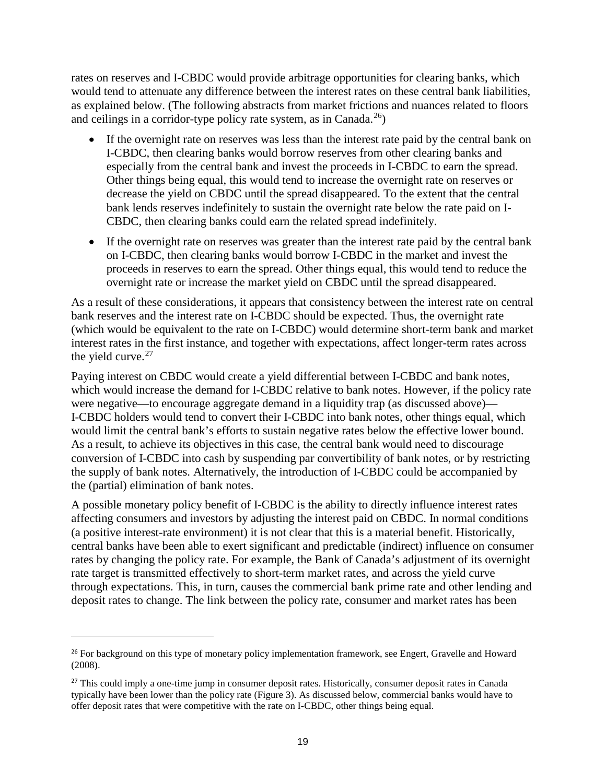rates on reserves and I-CBDC would provide arbitrage opportunities for clearing banks, which would tend to attenuate any difference between the interest rates on these central bank liabilities, as explained below. (The following abstracts from market frictions and nuances related to floors and ceilings in a corridor-type policy rate system, as in Canada. $^{26}$ )

- If the overnight rate on reserves was less than the interest rate paid by the central bank on I-CBDC, then clearing banks would borrow reserves from other clearing banks and especially from the central bank and invest the proceeds in I-CBDC to earn the spread. Other things being equal, this would tend to increase the overnight rate on reserves or decrease the yield on CBDC until the spread disappeared. To the extent that the central bank lends reserves indefinitely to sustain the overnight rate below the rate paid on I-CBDC, then clearing banks could earn the related spread indefinitely.
- If the overnight rate on reserves was greater than the interest rate paid by the central bank on I-CBDC, then clearing banks would borrow I-CBDC in the market and invest the proceeds in reserves to earn the spread. Other things equal, this would tend to reduce the overnight rate or increase the market yield on CBDC until the spread disappeared.

As a result of these considerations, it appears that consistency between the interest rate on central bank reserves and the interest rate on I-CBDC should be expected. Thus, the overnight rate (which would be equivalent to the rate on I-CBDC) would determine short-term bank and market interest rates in the first instance, and together with expectations, affect longer-term rates across the yield curve.<sup>[27](#page-23-1)</sup>

Paying interest on CBDC would create a yield differential between I-CBDC and bank notes, which would increase the demand for I-CBDC relative to bank notes. However, if the policy rate were negative—to encourage aggregate demand in a liquidity trap (as discussed above)— I-CBDC holders would tend to convert their I-CBDC into bank notes, other things equal, which would limit the central bank's efforts to sustain negative rates below the effective lower bound. As a result, to achieve its objectives in this case, the central bank would need to discourage conversion of I-CBDC into cash by suspending par convertibility of bank notes, or by restricting the supply of bank notes. Alternatively, the introduction of I-CBDC could be accompanied by the (partial) elimination of bank notes.

A possible monetary policy benefit of I-CBDC is the ability to directly influence interest rates affecting consumers and investors by adjusting the interest paid on CBDC. In normal conditions (a positive interest-rate environment) it is not clear that this is a material benefit. Historically, central banks have been able to exert significant and predictable (indirect) influence on consumer rates by changing the policy rate. For example, the Bank of Canada's adjustment of its overnight rate target is transmitted effectively to short-term market rates, and across the yield curve through expectations. This, in turn, causes the commercial bank prime rate and other lending and deposit rates to change. The link between the policy rate, consumer and market rates has been

<span id="page-23-0"></span><sup>&</sup>lt;sup>26</sup> For background on this type of monetary policy implementation framework, see Engert, Gravelle and Howard (2008).

<span id="page-23-1"></span><sup>&</sup>lt;sup>27</sup> This could imply a one-time jump in consumer deposit rates. Historically, consumer deposit rates in Canada typically have been lower than the policy rate (Figure 3). As discussed below, commercial banks would have to offer deposit rates that were competitive with the rate on I-CBDC, other things being equal.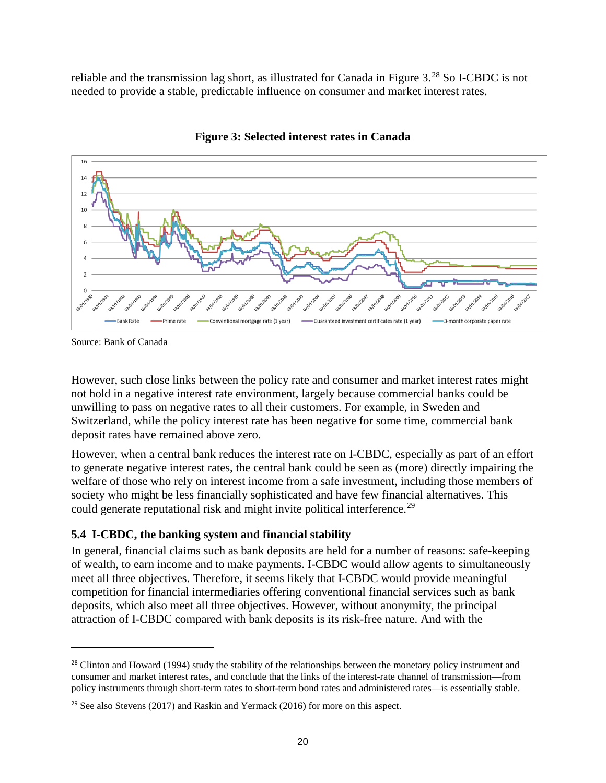reliable and the transmission lag short, as illustrated for Canada in Figure 3.<sup>[28](#page-24-0)</sup> So I-CBDC is not needed to provide a stable, predictable influence on consumer and market interest rates.



**Figure 3: Selected interest rates in Canada** 

 $\overline{a}$ 

However, such close links between the policy rate and consumer and market interest rates might not hold in a negative interest rate environment, largely because commercial banks could be unwilling to pass on negative rates to all their customers. For example, in Sweden and Switzerland, while the policy interest rate has been negative for some time, commercial bank deposit rates have remained above zero.

However, when a central bank reduces the interest rate on I-CBDC, especially as part of an effort to generate negative interest rates, the central bank could be seen as (more) directly impairing the welfare of those who rely on interest income from a safe investment, including those members of society who might be less financially sophisticated and have few financial alternatives. This could generate reputational risk and might invite political interference.<sup>[29](#page-24-1)</sup>

#### **5.4 I-CBDC, the banking system and financial stability**

In general, financial claims such as bank deposits are held for a number of reasons: safe-keeping of wealth, to earn income and to make payments. I-CBDC would allow agents to simultaneously meet all three objectives. Therefore, it seems likely that I-CBDC would provide meaningful competition for financial intermediaries offering conventional financial services such as bank deposits, which also meet all three objectives. However, without anonymity, the principal attraction of I-CBDC compared with bank deposits is its risk-free nature. And with the

Source: Bank of Canada

<span id="page-24-0"></span><sup>&</sup>lt;sup>28</sup> Clinton and Howard (1994) study the stability of the relationships between the monetary policy instrument and consumer and market interest rates, and conclude that the links of the interest-rate channel of transmission—from policy instruments through short-term rates to short-term bond rates and administered rates—is essentially stable.

<span id="page-24-1"></span> $29$  See also Stevens (2017) and Raskin and Yermack (2016) for more on this aspect.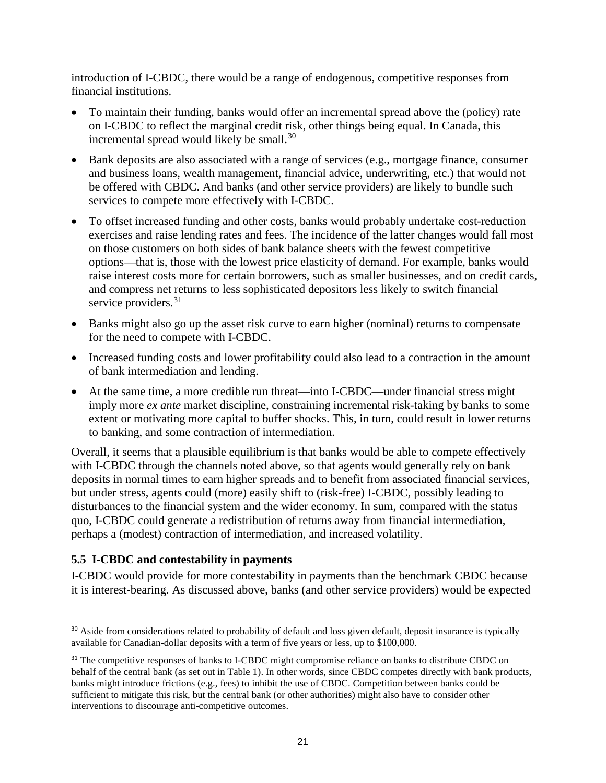introduction of I-CBDC, there would be a range of endogenous, competitive responses from financial institutions.

- To maintain their funding, banks would offer an incremental spread above the (policy) rate on I-CBDC to reflect the marginal credit risk, other things being equal. In Canada, this incremental spread would likely be small.<sup>[30](#page-25-0)</sup>
- Bank deposits are also associated with a range of services (e.g., mortgage finance, consumer and business loans, wealth management, financial advice, underwriting, etc.) that would not be offered with CBDC. And banks (and other service providers) are likely to bundle such services to compete more effectively with I-CBDC.
- To offset increased funding and other costs, banks would probably undertake cost-reduction exercises and raise lending rates and fees. The incidence of the latter changes would fall most on those customers on both sides of bank balance sheets with the fewest competitive options—that is, those with the lowest price elasticity of demand. For example, banks would raise interest costs more for certain borrowers, such as smaller businesses, and on credit cards, and compress net returns to less sophisticated depositors less likely to switch financial service providers.<sup>[31](#page-25-1)</sup>
- Banks might also go up the asset risk curve to earn higher (nominal) returns to compensate for the need to compete with I-CBDC.
- Increased funding costs and lower profitability could also lead to a contraction in the amount of bank intermediation and lending.
- At the same time, a more credible run threat—into I-CBDC—under financial stress might imply more *ex ante* market discipline, constraining incremental risk-taking by banks to some extent or motivating more capital to buffer shocks. This, in turn, could result in lower returns to banking, and some contraction of intermediation.

Overall, it seems that a plausible equilibrium is that banks would be able to compete effectively with I-CBDC through the channels noted above, so that agents would generally rely on bank deposits in normal times to earn higher spreads and to benefit from associated financial services, but under stress, agents could (more) easily shift to (risk-free) I-CBDC, possibly leading to disturbances to the financial system and the wider economy. In sum, compared with the status quo, I-CBDC could generate a redistribution of returns away from financial intermediation, perhaps a (modest) contraction of intermediation, and increased volatility.

#### **5.5 I-CBDC and contestability in payments**

 $\overline{a}$ 

I-CBDC would provide for more contestability in payments than the benchmark CBDC because it is interest-bearing. As discussed above, banks (and other service providers) would be expected

<span id="page-25-0"></span><sup>&</sup>lt;sup>30</sup> Aside from considerations related to probability of default and loss given default, deposit insurance is typically available for Canadian-dollar deposits with a term of five years or less, up to \$100,000.

<span id="page-25-1"></span><sup>&</sup>lt;sup>31</sup> The competitive responses of banks to I-CBDC might compromise reliance on banks to distribute CBDC on behalf of the central bank (as set out in Table 1). In other words, since CBDC competes directly with bank products, banks might introduce frictions (e.g., fees) to inhibit the use of CBDC. Competition between banks could be sufficient to mitigate this risk, but the central bank (or other authorities) might also have to consider other interventions to discourage anti-competitive outcomes.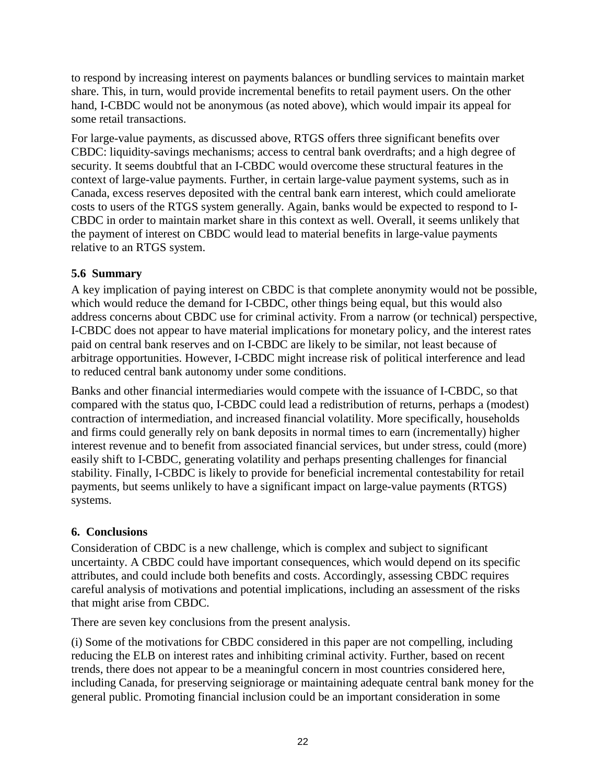to respond by increasing interest on payments balances or bundling services to maintain market share. This, in turn, would provide incremental benefits to retail payment users. On the other hand, I-CBDC would not be anonymous (as noted above), which would impair its appeal for some retail transactions.

For large-value payments, as discussed above, RTGS offers three significant benefits over CBDC: liquidity-savings mechanisms; access to central bank overdrafts; and a high degree of security. It seems doubtful that an I-CBDC would overcome these structural features in the context of large-value payments. Further, in certain large-value payment systems, such as in Canada, excess reserves deposited with the central bank earn interest, which could ameliorate costs to users of the RTGS system generally. Again, banks would be expected to respond to I-CBDC in order to maintain market share in this context as well. Overall, it seems unlikely that the payment of interest on CBDC would lead to material benefits in large-value payments relative to an RTGS system.

#### **5.6 Summary**

A key implication of paying interest on CBDC is that complete anonymity would not be possible, which would reduce the demand for I-CBDC, other things being equal, but this would also address concerns about CBDC use for criminal activity. From a narrow (or technical) perspective, I-CBDC does not appear to have material implications for monetary policy, and the interest rates paid on central bank reserves and on I-CBDC are likely to be similar, not least because of arbitrage opportunities. However, I-CBDC might increase risk of political interference and lead to reduced central bank autonomy under some conditions.

Banks and other financial intermediaries would compete with the issuance of I-CBDC, so that compared with the status quo, I-CBDC could lead a redistribution of returns, perhaps a (modest) contraction of intermediation, and increased financial volatility. More specifically, households and firms could generally rely on bank deposits in normal times to earn (incrementally) higher interest revenue and to benefit from associated financial services, but under stress, could (more) easily shift to I-CBDC, generating volatility and perhaps presenting challenges for financial stability. Finally, I-CBDC is likely to provide for beneficial incremental contestability for retail payments, but seems unlikely to have a significant impact on large-value payments (RTGS) systems.

#### **6. Conclusions**

Consideration of CBDC is a new challenge, which is complex and subject to significant uncertainty. A CBDC could have important consequences, which would depend on its specific attributes, and could include both benefits and costs. Accordingly, assessing CBDC requires careful analysis of motivations and potential implications, including an assessment of the risks that might arise from CBDC.

There are seven key conclusions from the present analysis.

(i) Some of the motivations for CBDC considered in this paper are not compelling, including reducing the ELB on interest rates and inhibiting criminal activity. Further, based on recent trends, there does not appear to be a meaningful concern in most countries considered here, including Canada, for preserving seigniorage or maintaining adequate central bank money for the general public. Promoting financial inclusion could be an important consideration in some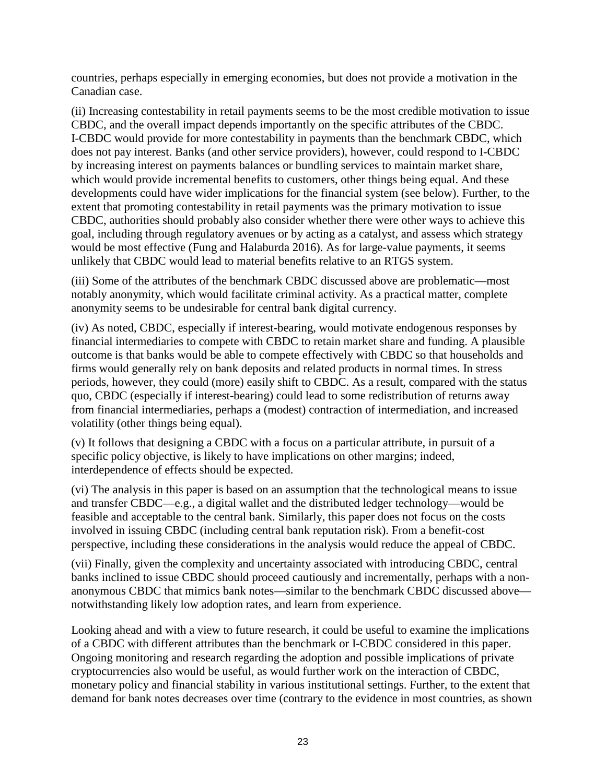countries, perhaps especially in emerging economies, but does not provide a motivation in the Canadian case.

(ii) Increasing contestability in retail payments seems to be the most credible motivation to issue CBDC, and the overall impact depends importantly on the specific attributes of the CBDC. I-CBDC would provide for more contestability in payments than the benchmark CBDC, which does not pay interest. Banks (and other service providers), however, could respond to I-CBDC by increasing interest on payments balances or bundling services to maintain market share, which would provide incremental benefits to customers, other things being equal. And these developments could have wider implications for the financial system (see below). Further, to the extent that promoting contestability in retail payments was the primary motivation to issue CBDC, authorities should probably also consider whether there were other ways to achieve this goal, including through regulatory avenues or by acting as a catalyst, and assess which strategy would be most effective (Fung and Halaburda 2016). As for large-value payments, it seems unlikely that CBDC would lead to material benefits relative to an RTGS system.

(iii) Some of the attributes of the benchmark CBDC discussed above are problematic—most notably anonymity, which would facilitate criminal activity. As a practical matter, complete anonymity seems to be undesirable for central bank digital currency.

(iv) As noted, CBDC, especially if interest-bearing, would motivate endogenous responses by financial intermediaries to compete with CBDC to retain market share and funding. A plausible outcome is that banks would be able to compete effectively with CBDC so that households and firms would generally rely on bank deposits and related products in normal times. In stress periods, however, they could (more) easily shift to CBDC. As a result, compared with the status quo, CBDC (especially if interest-bearing) could lead to some redistribution of returns away from financial intermediaries, perhaps a (modest) contraction of intermediation, and increased volatility (other things being equal).

(v) It follows that designing a CBDC with a focus on a particular attribute, in pursuit of a specific policy objective, is likely to have implications on other margins; indeed, interdependence of effects should be expected.

(vi) The analysis in this paper is based on an assumption that the technological means to issue and transfer CBDC—e.g., a digital wallet and the distributed ledger technology—would be feasible and acceptable to the central bank. Similarly, this paper does not focus on the costs involved in issuing CBDC (including central bank reputation risk). From a benefit-cost perspective, including these considerations in the analysis would reduce the appeal of CBDC.

(vii) Finally, given the complexity and uncertainty associated with introducing CBDC, central banks inclined to issue CBDC should proceed cautiously and incrementally, perhaps with a nonanonymous CBDC that mimics bank notes—similar to the benchmark CBDC discussed above notwithstanding likely low adoption rates, and learn from experience.

Looking ahead and with a view to future research, it could be useful to examine the implications of a CBDC with different attributes than the benchmark or I-CBDC considered in this paper. Ongoing monitoring and research regarding the adoption and possible implications of private cryptocurrencies also would be useful, as would further work on the interaction of CBDC, monetary policy and financial stability in various institutional settings. Further, to the extent that demand for bank notes decreases over time (contrary to the evidence in most countries, as shown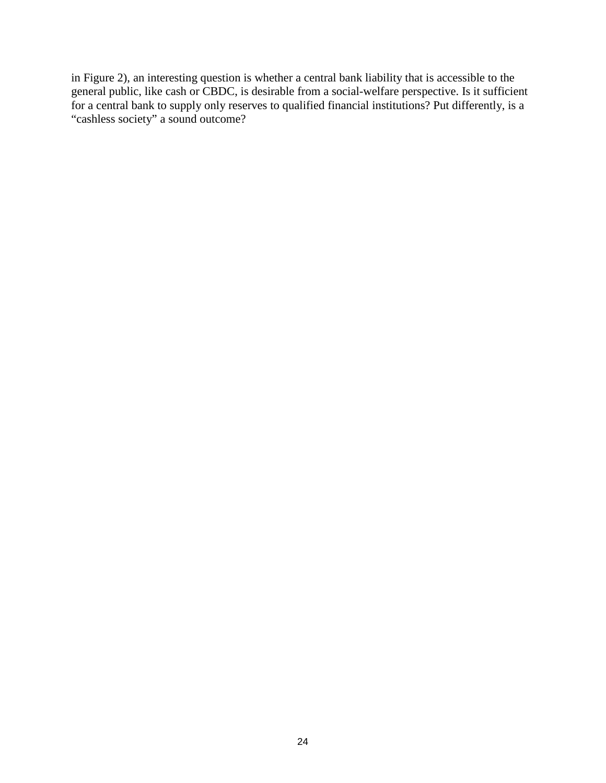in Figure 2), an interesting question is whether a central bank liability that is accessible to the general public, like cash or CBDC, is desirable from a social-welfare perspective. Is it sufficient for a central bank to supply only reserves to qualified financial institutions? Put differently, is a "cashless society" a sound outcome?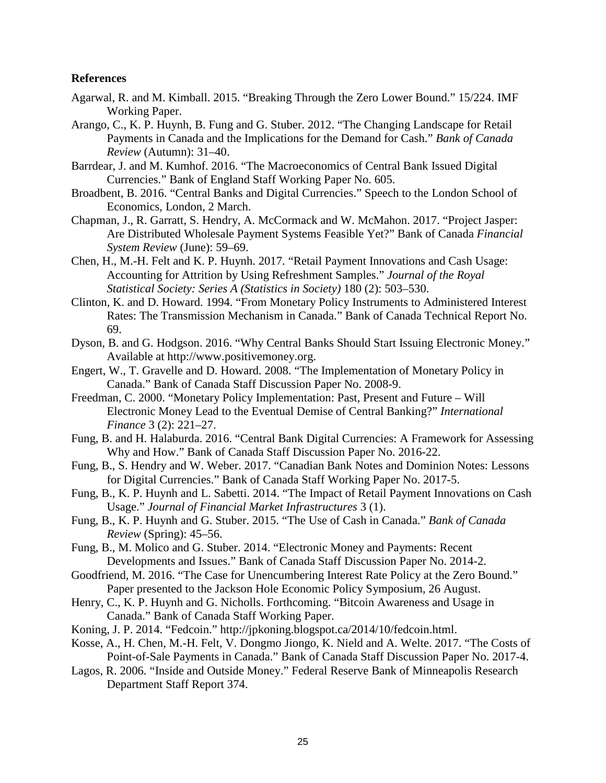#### **References**

- Agarwal, R. and M. Kimball. 2015. "Breaking Through the Zero Lower Bound." 15/224. IMF Working Paper.
- Arango, C., K. P. Huynh, B. Fung and G. Stuber. 2012. "The Changing Landscape for Retail Payments in Canada and the Implications for the Demand for Cash." *Bank of Canada Review* (Autumn): 31–40.
- Barrdear, J. and M. Kumhof. 2016. "The Macroeconomics of Central Bank Issued Digital Currencies." Bank of England Staff Working Paper No. 605.
- Broadbent, B. 2016. "Central Banks and Digital Currencies." Speech to the London School of Economics, London, 2 March.
- Chapman, J., R. Garratt, S. Hendry, A. McCormack and W. McMahon. 2017. "Project Jasper: Are Distributed Wholesale Payment Systems Feasible Yet?" Bank of Canada *Financial System Review* (June): 59–69.
- Chen, H., M.-H. Felt and K. P. Huynh. 2017. "Retail Payment Innovations and Cash Usage: Accounting for Attrition by Using Refreshment Samples." *Journal of the Royal Statistical Society: Series A (Statistics in Society)* 180 (2): 503–530.
- Clinton, K. and D. Howard. 1994. "From Monetary Policy Instruments to Administered Interest Rates: The Transmission Mechanism in Canada." Bank of Canada Technical Report No. 69.
- Dyson, B. and G. Hodgson. 2016. "Why Central Banks Should Start Issuing Electronic Money." Available at http://www.positivemoney.org.
- Engert, W., T. Gravelle and D. Howard. 2008. "The Implementation of Monetary Policy in Canada." Bank of Canada Staff Discussion Paper No. 2008-9.
- Freedman, C. 2000. "Monetary Policy Implementation: Past, Present and Future Will Electronic Money Lead to the Eventual Demise of Central Banking?" *International Finance* 3 (2): 221–27.
- Fung, B. and H. Halaburda. 2016. "Central Bank Digital Currencies: A Framework for Assessing Why and How." Bank of Canada Staff Discussion Paper No. 2016-22.
- Fung, B., S. Hendry and W. Weber. 2017. "Canadian Bank Notes and Dominion Notes: Lessons for Digital Currencies." Bank of Canada Staff Working Paper No. 2017-5.
- Fung, B., K. P. Huynh and L. Sabetti. 2014. "The Impact of Retail Payment Innovations on Cash Usage." *Journal of Financial Market Infrastructures* 3 (1).
- Fung, B., K. P. Huynh and G. Stuber. 2015. "The Use of Cash in Canada." *Bank of Canada Review* (Spring): 45–56.
- Fung, B., M. Molico and G. Stuber. 2014. "Electronic Money and Payments: Recent Developments and Issues." Bank of Canada Staff Discussion Paper No. 2014-2.
- Goodfriend, M. 2016. "The Case for Unencumbering Interest Rate Policy at the Zero Bound." Paper presented to the Jackson Hole Economic Policy Symposium, 26 August.
- Henry, C., K. P. Huynh and G. Nicholls. Forthcoming. "Bitcoin Awareness and Usage in Canada." Bank of Canada Staff Working Paper.
- Koning, J. P. 2014. "Fedcoin." http://jpkoning.blogspot.ca/2014/10/fedcoin.html.
- Kosse, A., H. Chen, M.-H. Felt, V. Dongmo Jiongo, K. Nield and A. Welte. 2017. "The Costs of Point-of-Sale Payments in Canada." Bank of Canada Staff Discussion Paper No. 2017-4.
- Lagos, R. 2006. "Inside and Outside Money." Federal Reserve Bank of Minneapolis Research Department Staff Report 374.